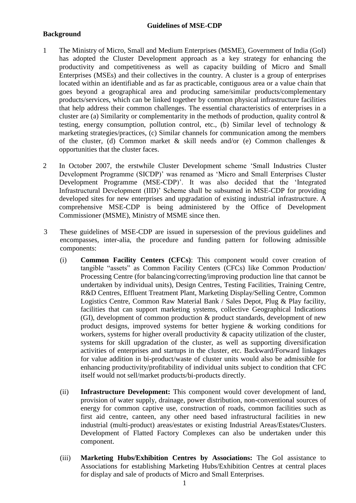# **Background**

- 1 The Ministry of Micro, Small and Medium Enterprises (MSME), Government of India (GoI) has adopted the Cluster Development approach as a key strategy for enhancing the productivity and competitiveness as well as capacity building of Micro and Small Enterprises (MSEs) and their collectives in the country. A cluster is a group of enterprises located within an identifiable and as far as practicable, contiguous area or a value chain that goes beyond a geographical area and producing same/similar products/complementary products/services, which can be linked together by common physical infrastructure facilities that help address their common challenges. The essential characteristics of enterprises in a cluster are (a) Similarity or complementarity in the methods of production, quality control  $\&$ testing, energy consumption, pollution control, etc., (b) Similar level of technology  $\&$ marketing strategies/practices, (c) Similar channels for communication among the members of the cluster, (d) Common market  $\&$  skill needs and/or (e) Common challenges  $\&$ opportunities that the cluster faces.
- 2 In October 2007, the erstwhile Cluster Development scheme "Small Industries Cluster Development Programme (SICDP)' was renamed as 'Micro and Small Enterprises Cluster Development Programme (MSE-CDP)'. It was also decided that the 'Integrated Infrastructural Development (IID)" Scheme shall be subsumed in MSE-CDP for providing developed sites for new enterprises and upgradation of existing industrial infrastructure. A comprehensive MSE-CDP is being administered by the Office of Development Commissioner (MSME), Ministry of MSME since then.
- 3 These guidelines of MSE-CDP are issued in supersession of the previous guidelines and encompasses, inter-alia, the procedure and funding pattern for following admissible components:
	- (i) **Common Facility Centers (CFCs)**: This component would cover creation of tangible "assets" as Common Facility Centers (CFCs) like Common Production/ Processing Centre (for balancing/correcting/improving production line that cannot be undertaken by individual units), Design Centres, Testing Facilities, Training Centre, R&D Centres, Effluent Treatment Plant, Marketing Display/Selling Centre, Common Logistics Centre, Common Raw Material Bank / Sales Depot, Plug & Play facility, facilities that can support marketing systems, collective Geographical Indications (GI), development of common production & product standards, development of new product designs, improved systems for better hygiene & working conditions for workers, systems for higher overall productivity & capacity utilization of the cluster, systems for skill upgradation of the cluster, as well as supporting diversification activities of enterprises and startups in the cluster, etc. Backward/Forward linkages for value addition in bi-product/waste of cluster units would also be admissible for enhancing productivity/profitability of individual units subject to condition that CFC itself would not sell/market products/bi-products directly.
	- (ii) **Infrastructure Development:** This component would cover development of land, provision of water supply, drainage, power distribution, non-conventional sources of energy for common captive use, construction of roads, common facilities such as first aid centre, canteen, any other need based infrastructural facilities in new industrial (multi-product) areas/estates or existing Industrial Areas/Estates/Clusters. Development of Flatted Factory Complexes can also be undertaken under this component.
	- (iii) **Marketing Hubs/Exhibition Centres by Associations:** The GoI assistance to Associations for establishing Marketing Hubs/Exhibition Centres at central places for display and sale of products of Micro and Small Enterprises.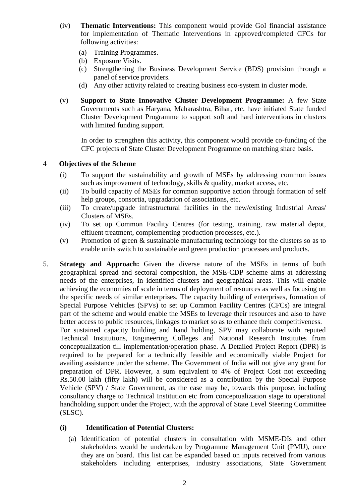- (iv) **Thematic Interventions:** This component would provide GoI financial assistance for implementation of Thematic Interventions in approved/completed CFCs for following activities:
	- (a) Training Programmes.
	- (b) Exposure Visits.
	- (c) Strengthening the Business Development Service (BDS) provision through a panel of service providers.
	- (d) Any other activity related to creating business eco-system in cluster mode.
- (v) **Support to State Innovative Cluster Development Programme:** A few State Governments such as Haryana, Maharashtra, Bihar, etc. have initiated State funded Cluster Development Programme to support soft and hard interventions in clusters with limited funding support.

In order to strengthen this activity, this component would provide co-funding of the CFC projects of State Cluster Development Programme on matching share basis.

#### 4 **Objectives of the Scheme**

- (i) To support the sustainability and growth of MSEs by addressing common issues such as improvement of technology, skills & quality, market access, etc.
- (ii) To build capacity of MSEs for common supportive action through formation of self help groups, consortia, upgradation of associations, etc.
- (iii) To create/upgrade infrastructural facilities in the new/existing Industrial Areas/ Clusters of MSEs.
- (iv) To set up Common Facility Centres (for testing, training, raw material depot, effluent treatment, complementing production processes, etc.).
- (v) Promotion of green & sustainable manufacturing technology for the clusters so as to enable units switch to sustainable and green production processes and products.
- 5. **Strategy and Approach:** Given the diverse nature of the MSEs in terms of both geographical spread and sectoral composition, the MSE-CDP scheme aims at addressing needs of the enterprises, in identified clusters and geographical areas. This will enable achieving the economies of scale in terms of deployment of resources as well as focusing on the specific needs of similar enterprises. The capacity building of enterprises, formation of Special Purpose Vehicles (SPVs) to set up Common Facility Centres (CFCs) are integral part of the scheme and would enable the MSEs to leverage their resources and also to have better access to public resources, linkages to market so as to enhance their competitiveness. For sustained capacity building and hand holding, SPV may collaborate with reputed Technical Institutions, Engineering Colleges and National Research Institutes from conceptualization till implementation/operation phase. A Detailed Project Report (DPR) is required to be prepared for a technically feasible and economically viable Project for availing assistance under the scheme. The Government of India will not give any grant for preparation of DPR. However, a sum equivalent to 4% of Project Cost not exceeding Rs.50.00 lakh (fifty lakh) will be considered as a contribution by the Special Purpose Vehicle (SPV) / State Government, as the case may be, towards this purpose, including consultancy charge to Technical Institution etc from conceptualization stage to operational handholding support under the Project, with the approval of State Level Steering Committee (SLSC).

## **(i) Identification of Potential Clusters:**

(a) Identification of potential clusters in consultation with MSME-DIs and other stakeholders would be undertaken by Programme Management Unit (PMU), once they are on board. This list can be expanded based on inputs received from various stakeholders including enterprises, industry associations, State Government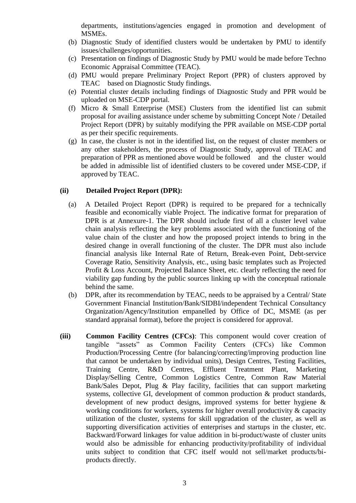departments, institutions/agencies engaged in promotion and development of MSMEs.

- (b) Diagnostic Study of identified clusters would be undertaken by PMU to identify issues/challenges/opportunities.
- (c) Presentation on findings of Diagnostic Study by PMU would be made before Techno Economic Appraisal Committee (TEAC).
- (d) PMU would prepare Preliminary Project Report (PPR) of clusters approved by TEAC based on Diagnostic Study findings.
- (e) Potential cluster details including findings of Diagnostic Study and PPR would be uploaded on MSE-CDP portal.
- (f) Micro & Small Enterprise (MSE) Clusters from the identified list can submit proposal for availing assistance under scheme by submitting Concept Note / Detailed Project Report (DPR) by suitably modifying the PPR available on MSE-CDP portal as per their specific requirements.
- (g) In case, the cluster is not in the identified list, on the request of cluster members or any other stakeholders, the process of Diagnostic Study, approval of TEAC and preparation of PPR as mentioned above would be followed and the cluster would be added in admissible list of identified clusters to be covered under MSE-CDP, if approved by TEAC.

#### **(ii) Detailed Project Report (DPR):**

- (a) A Detailed Project Report (DPR) is required to be prepared for a technically feasible and economically viable Project. The indicative format for preparation of DPR is at Annexure-1. The DPR should include first of all a cluster level value chain analysis reflecting the key problems associated with the functioning of the value chain of the cluster and how the proposed project intends to bring in the desired change in overall functioning of the cluster. The DPR must also include financial analysis like Internal Rate of Return, Break-even Point, Debt-service Coverage Ratio, Sensitivity Analysis, etc., using basic templates such as Projected Profit & Loss Account, Projected Balance Sheet, etc. clearly reflecting the need for viability gap funding by the public sources linking up with the conceptual rationale behind the same.
- (b) DPR, after its recommendation by TEAC, needs to be appraised by a Central/ State Government Financial Institution/Bank/SIDBI/independent Technical Consultancy Organization/Agency/Institution empanelled by Office of DC, MSME (as per standard appraisal format), before the project is considered for approval.
- **(iii) Common Facility Centres (CFCs)**: This component would cover creation of tangible "assets" as Common Facility Centers (CFCs) like Common Production/Processing Centre (for balancing/correcting/improving production line that cannot be undertaken by individual units), Design Centres, Testing Facilities, Training Centre, R&D Centres, Effluent Treatment Plant, Marketing Display/Selling Centre, Common Logistics Centre, Common Raw Material Bank/Sales Depot, Plug & Play facility, facilities that can support marketing systems, collective GI, development of common production & product standards, development of new product designs, improved systems for better hygiene & working conditions for workers, systems for higher overall productivity & capacity utilization of the cluster, systems for skill upgradation of the cluster, as well as supporting diversification activities of enterprises and startups in the cluster, etc. Backward/Forward linkages for value addition in bi-product/waste of cluster units would also be admissible for enhancing productivity/profitability of individual units subject to condition that CFC itself would not sell/market products/biproducts directly.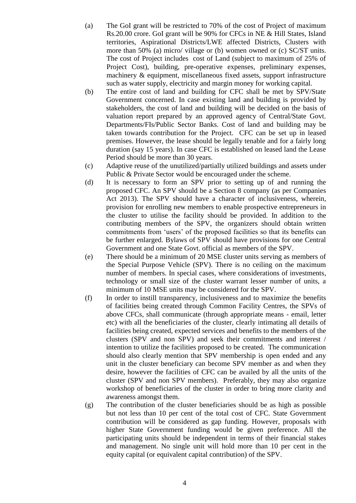- (a) The GoI grant will be restricted to 70% of the cost of Project of maximum Rs.20.00 crore. GoI grant will be 90% for CFCs in NE & Hill States, Island territories, Aspirational Districts/LWE affected Districts, Clusters with more than 50% (a) micro/ village or (b) women owned or (c) SC/ST units. The cost of Project includes cost of Land (subject to maximum of 25% of Project Cost), building, pre-operative expenses, preliminary expenses, machinery & equipment, miscellaneous fixed assets, support infrastructure such as water supply, electricity and margin money for working capital.
- (b) The entire cost of land and building for CFC shall be met by SPV/State Government concerned. In case existing land and building is provided by stakeholders, the cost of land and building will be decided on the basis of valuation report prepared by an approved agency of Central/State Govt. Departments/FIs/Public Sector Banks. Cost of land and building may be taken towards contribution for the Project. CFC can be set up in leased premises. However, the lease should be legally tenable and for a fairly long duration (say 15 years). In case CFC is established on leased land the Lease Period should be more than 30 years.
- (c) Adaptive reuse of the unutilized/partially utilized buildings and assets under Public & Private Sector would be encouraged under the scheme.
- (d) It is necessary to form an SPV prior to setting up of and running the proposed CFC. An SPV should be a Section 8 company (as per Companies Act 2013). The SPV should have a character of inclusiveness, wherein, provision for enrolling new members to enable prospective entrepreneurs in the cluster to utilise the facility should be provided. In addition to the contributing members of the SPV, the organizers should obtain written commitments from "users" of the proposed facilities so that its benefits can be further enlarged. Bylaws of SPV should have provisions for one Central Government and one State Govt. official as members of the SPV.
- (e) There should be a minimum of 20 MSE cluster units serving as members of the Special Purpose Vehicle (SPV). There is no ceiling on the maximum number of members. In special cases, where considerations of investments, technology or small size of the cluster warrant lesser number of units, a minimum of 10 MSE units may be considered for the SPV.
- (f) In order to instill transparency, inclusiveness and to maximize the benefits of facilities being created through Common Facility Centres, the SPVs of above CFCs, shall communicate (through appropriate means - email, letter etc) with all the beneficiaries of the cluster, clearly intimating all details of facilities being created, expected services and benefits to the members of the clusters (SPV and non SPV) and seek their commitments and interest / intention to utilize the facilities proposed to be created. The communication should also clearly mention that SPV membership is open ended and any unit in the cluster beneficiary can become SPV member as and when they desire, however the facilities of CFC can be availed by all the units of the cluster (SPV and non SPV members). Preferably, they may also organize workshop of beneficiaries of the cluster in order to bring more clarity and awareness amongst them.
- (g) The contribution of the cluster beneficiaries should be as high as possible but not less than 10 per cent of the total cost of CFC. State Government contribution will be considered as gap funding. However, proposals with higher State Government funding would be given preference. All the participating units should be independent in terms of their financial stakes and management. No single unit will hold more than 10 per cent in the equity capital (or equivalent capital contribution) of the SPV.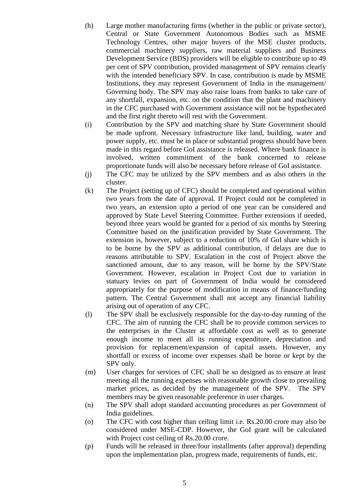- (h) Large mother manufacturing firms (whether in the public or private sector), Central or State Government Autonomous Bodies such as MSME Technology Centres, other major buyers of the MSE cluster products, commercial machinery suppliers, raw material suppliers and Business Development Service (BDS) providers will be eligible to contribute up to 49 per cent of SPV contribution, provided management of SPV remains clearly with the intended beneficiary SPV. In case, contribution is made by MSME Institutions, they may represent Government of India in the management/ Governing body. The SPV may also raise loans from banks to take care of any shortfall, expansion, etc. on the condition that the plant and machinery in the CFC purchased with Government assistance will not be hypothecated and the first right thereto will rest with the Government.
- (i) Contribution by the SPV and matching share by State Government should be made upfront. Necessary infrastructure like land, building, water and power supply, etc. must be in place or substantial progress should have been made in this regard before GoI assistance is released. Where bank finance is involved, written commitment of the bank concerned to release proportionate funds will also be necessary before release of GoI assistance.
- (j) The CFC may be utilized by the SPV members and as also others in the cluster.
- (k) The Project (setting up of CFC) should be completed and operational within two years from the date of approval. If Project could not be completed in two years, an extension upto a period of one year can be considered and approved by State Level Steering Committee. Further extensions if needed, beyond three years would be granted for a period of six months by Steering Committee based on the justification provided by State Government. The extension is, however, subject to a reduction of 10% of GoI share which is to be borne by the SPV as additional contribution, if delays are due to reasons attributable to SPV. Escalation in the cost of Project above the sanctioned amount, due to any reason, will be borne by the SPV/State Government. However, escalation in Project Cost due to variation in statuary levies on part of Government of India would be considered appropriately for the purpose of modification in means of finance/funding pattern. The Central Government shall not accept any financial liability arising out of operation of any CFC.
- (l) The SPV shall be exclusively responsible for the day-to-day running of the CFC. The aim of running the CFC shall be to provide common services to the enterprises in the Cluster at affordable cost as well as to generate enough income to meet all its running expenditure, depreciation and provision for replacement/expansion of capital assets. However, any shortfall or excess of income over expenses shall be borne or kept by the SPV only.
- (m) User charges for services of CFC shall be so designed as to ensure at least meeting all the running expenses with reasonable growth close to prevailing market prices, as decided by the management of the SPV. The SPV members may be given reasonable preference in user charges.
- (n) The SPV shall adopt standard accounting procedures as per Government of India guidelines.
- (o) The CFC with cost higher than ceiling limit i.e. Rs.20.00 crore may also be considered under MSE-CDP. However, the GoI grant will be calculated with Project cost ceiling of Rs.20.00 crore.
- (p) Funds will be released in three/four installments (after approval) depending upon the implementation plan, progress made, requirements of funds, etc.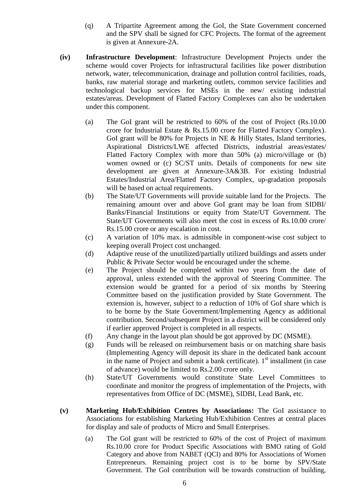- (q) A Tripartite Agreement among the GoI, the State Government concerned and the SPV shall be signed for CFC Projects. The format of the agreement is given at Annexure-2A.
- **(iv) Infrastructure Development**: Infrastructure Development Projects under the scheme would cover Projects for infrastructural facilities like power distribution network, water, telecommunication, drainage and pollution control facilities, roads, banks, raw material storage and marketing outlets, common service facilities and technological backup services for MSEs in the new/ existing industrial estates/areas. Development of Flatted Factory Complexes can also be undertaken under this component.
	- (a) The GoI grant will be restricted to 60% of the cost of Project (Rs.10.00 crore for Industrial Estate & Rs.15.00 crore for Flatted Factory Complex). GoI grant will be 80% for Projects in NE & Hilly States, Island territories, Aspirational Districts/LWE affected Districts, industrial areas/estates/ Flatted Factory Complex with more than 50% (a) micro/village or (b) women owned or (c) SC/ST units. Details of components for new site development are given at Annexure-3A&3B. For existing Industrial Estates/Industrial Area/Flatted Factory Complex, up-gradation proposals will be based on actual requirements.
	- (b) The State/UT Governments will provide suitable land for the Projects. The remaining amount over and above GoI grant may be loan from SIDBI/ Banks/Financial Institutions or equity from State/UT Government. The State/UT Governments will also meet the cost in excess of Rs.10.00 crore/ Rs.15.00 crore or any escalation in cost.
	- (c) A variation of 10% max. is admissible in component-wise cost subject to keeping overall Project cost unchanged.
	- (d) Adaptive reuse of the unutilized/partially utilized buildings and assets under Public & Private Sector would be encouraged under the scheme.
	- (e) The Project should be completed within two years from the date of approval, unless extended with the approval of Steering Committee. The extension would be granted for a period of six months by Steering Committee based on the justification provided by State Government. The extension is, however, subject to a reduction of 10% of GoI share which is to be borne by the State Government/Implementing Agency as additional contribution. Second/subsequent Project in a district will be considered only if earlier approved Project is completed in all respects.
	- (f) Any change in the layout plan should be got approved by DC (MSME).
	- (g) Funds will be released on reimbursement basis or on matching share basis (Implementing Agency will deposit its share in the dedicated bank account in the name of Project and submit a bank certificate).  $1<sup>st</sup>$  installment (in case of advance) would be limited to Rs.2.00 crore only.
	- (h) State/UT Governments would constitute State Level Committees to coordinate and monitor the progress of implementation of the Projects, with representatives from Office of DC (MSME), SIDBI, Lead Bank, etc.
- **(v) Marketing Hub/Exhibition Centres by Associations:** The GoI assistance to Associations for establishing Marketing Hub/Exhibition Centres at central places for display and sale of products of Micro and Small Enterprises.
	- (a) The GoI grant will be restricted to 60% of the cost of Project of maximum Rs.10.00 crore for Product Specific Associations with BMO rating of Gold Category and above from NABET (QCI) and 80% for Associations of Women Entrepreneurs. Remaining project cost is to be borne by SPV/State Government. The GoI contribution will be towards construction of building,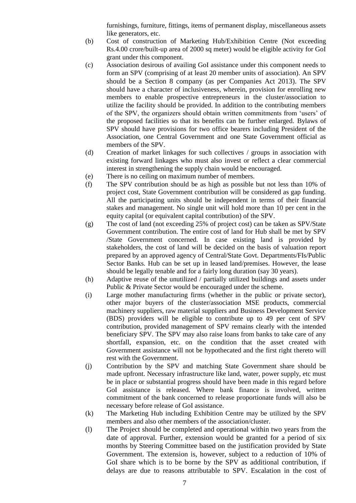furnishings, furniture, fittings, items of permanent display, miscellaneous assets like generators, etc.

- (b) Cost of construction of Marketing Hub/Exhibition Centre (Not exceeding Rs.4.00 crore/built-up area of 2000 sq meter) would be eligible activity for GoI grant under this component.
- (c) Association desirous of availing GoI assistance under this component needs to form an SPV (comprising of at least 20 member units of association). An SPV should be a Section 8 company (as per Companies Act 2013). The SPV should have a character of inclusiveness, wherein, provision for enrolling new members to enable prospective entrepreneurs in the cluster/association to utilize the facility should be provided. In addition to the contributing members of the SPV, the organizers should obtain written commitments from "users" of the proposed facilities so that its benefits can be further enlarged. Bylaws of SPV should have provisions for two office bearers including President of the Association, one Central Government and one State Government official as members of the SPV.
- (d) Creation of market linkages for such collectives / groups in association with existing forward linkages who must also invest or reflect a clear commercial interest in strengthening the supply chain would be encouraged.
- (e) There is no ceiling on maximum number of members.
- (f) The SPV contribution should be as high as possible but not less than 10% of project cost, State Government contribution will be considered as gap funding. All the participating units should be independent in terms of their financial stakes and management. No single unit will hold more than 10 per cent in the equity capital (or equivalent capital contribution) of the SPV.
- (g) The cost of land (not exceeding 25% of project cost) can be taken as SPV/State Government contribution. The entire cost of land for Hub shall be met by SPV /State Government concerned. In case existing land is provided by stakeholders, the cost of land will be decided on the basis of valuation report prepared by an approved agency of Central/State Govt. Departments/FIs/Public Sector Banks. Hub can be set up in leased land/premises. However, the lease should be legally tenable and for a fairly long duration (say 30 years).
- (h) Adaptive reuse of the unutilized / partially utilized buildings and assets under Public & Private Sector would be encouraged under the scheme.
- (i) Large mother manufacturing firms (whether in the public or private sector), other major buyers of the cluster/association MSE products, commercial machinery suppliers, raw material suppliers and Business Development Service (BDS) providers will be eligible to contribute up to 49 per cent of SPV contribution, provided management of SPV remains clearly with the intended beneficiary SPV. The SPV may also raise loans from banks to take care of any shortfall, expansion, etc. on the condition that the asset created with Government assistance will not be hypothecated and the first right thereto will rest with the Government.
- (j) Contribution by the SPV and matching State Government share should be made upfront. Necessary infrastructure like land, water, power supply, etc must be in place or substantial progress should have been made in this regard before GoI assistance is released. Where bank finance is involved, written commitment of the bank concerned to release proportionate funds will also be necessary before release of GoI assistance.
- (k) The Marketing Hub including Exhibition Centre may be utilized by the SPV members and also other members of the association/cluster.
- (l) The Project should be completed and operational within two years from the date of approval. Further, extension would be granted for a period of six months by Steering Committee based on the justification provided by State Government. The extension is, however, subject to a reduction of 10% of GoI share which is to be borne by the SPV as additional contribution, if delays are due to reasons attributable to SPV. Escalation in the cost of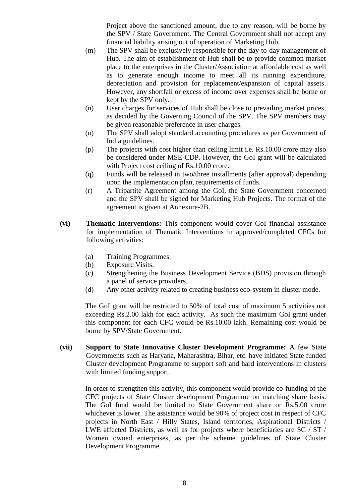Project above the sanctioned amount, due to any reason, will be borne by the SPV / State Government. The Central Government shall not accept any financial liability arising out of operation of Marketing Hub.

- (m) The SPV shall be exclusively responsible for the day-to-day management of Hub. The aim of establishment of Hub shall be to provide common market place to the enterprises in the Cluster/Association at affordable cost as well as to generate enough income to meet all its running expenditure, depreciation and provision for replacement/expansion of capital assets. However, any shortfall or excess of income over expenses shall be borne or kept by the SPV only.
- (n) User charges for services of Hub shall be close to prevailing market prices, as decided by the Governing Council of the SPV. The SPV members may be given reasonable preference in user charges.
- (o) The SPV shall adopt standard accounting procedures as per Government of India guidelines.
- (p) The projects with cost higher than ceiling limit i.e. Rs.10.00 crore may also be considered under MSE-CDP. However, the GoI grant will be calculated with Project cost ceiling of Rs.10.00 crore.
- (q) Funds will be released in two/three installments (after approval) depending upon the implementation plan, requirements of funds.
- (r) A Tripartite Agreement among the GoI, the State Government concerned and the SPV shall be signed for Marketing Hub Projects. The format of the agreement is given at Annexure-2B.
- **(vi) Thematic Interventions:** This component would cover GoI financial assistance for implementation of Thematic Interventions in approved/completed CFCs for following activities:
	- (a) Training Programmes.
	- (b) Exposure Visits.
	- (c) Strengthening the Business Development Service (BDS) provision through a panel of service providers.
	- (d) Any other activity related to creating business eco-system in cluster mode.

The GoI grant will be restricted to 50% of total cost of maximum 5 activities not exceeding Rs.2.00 lakh for each activity. As such the maximum GoI grant under this component for each CFC would be Rs.10.00 lakh. Remaining cost would be borne by SPV/State Government.

**(vii) Support to State Innovative Cluster Development Programme:** A few State Governments such as Haryana, Maharashtra, Bihar, etc. have initiated State funded Cluster development Programme to support soft and hard interventions in clusters with limited funding support.

In order to strengthen this activity, this component would provide co-funding of the CFC projects of State Cluster development Programme on matching share basis. The GoI fund would be limited to State Government share or Rs.5.00 crore whichever is lower. The assistance would be 90% of project cost in respect of CFC projects in North East / Hilly States, Island territories, Aspirational Districts / LWE affected Districts, as well as for projects where beneficiaries are SC / ST / Women owned enterprises, as per the scheme guidelines of State Cluster Development Programme.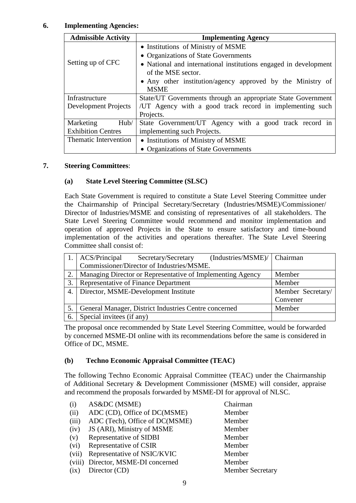### **6. Implementing Agencies:**

| <b>Admissible Activity</b> | <b>Implementing Agency</b>                                       |  |  |  |
|----------------------------|------------------------------------------------------------------|--|--|--|
|                            | • Institutions of Ministry of MSME                               |  |  |  |
|                            | • Organizations of State Governments                             |  |  |  |
| Setting up of CFC          | • National and international institutions engaged in development |  |  |  |
|                            | of the MSE sector.                                               |  |  |  |
|                            | • Any other institution/agency approved by the Ministry of       |  |  |  |
|                            | <b>MSME</b>                                                      |  |  |  |
| Infrastructure             | State/UT Governments through an appropriate State Government     |  |  |  |
| Development Projects       | /UT Agency with a good track record in implementing such         |  |  |  |
|                            | Projects.                                                        |  |  |  |
| Hub/<br>Marketing          | State Government/UT Agency with a good track record in           |  |  |  |
| <b>Exhibition Centres</b>  | implementing such Projects.                                      |  |  |  |
| Thematic Intervention      | • Institutions of Ministry of MSME                               |  |  |  |
|                            | • Organizations of State Governments                             |  |  |  |

#### **7. Steering Committees**:

#### **(a) State Level Steering Committee (SLSC)**

Each State Government is required to constitute a State Level Steering Committee under the Chairmanship of Principal Secretary/Secretary (Industries/MSME)/Commissioner/ Director of Industries/MSME and consisting of representatives of all stakeholders. The State Level Steering Committee would recommend and monitor implementation and operation of approved Projects in the State to ensure satisfactory and time-bound implementation of the activities and operations thereafter. The State Level Steering Committee shall consist of:

|    | ACS/Principal                        | Secretary/Secretary                                        | (Industries/MSME)/ Chairman |                   |
|----|--------------------------------------|------------------------------------------------------------|-----------------------------|-------------------|
|    |                                      | Commissioner/Director of Industries/MSME.                  |                             |                   |
| 2. |                                      | Managing Director or Representative of Implementing Agency |                             | Member            |
| 3. | Representative of Finance Department |                                                            | Member                      |                   |
| 4. | Director, MSME-Development Institute |                                                            |                             | Member Secretary/ |
|    |                                      |                                                            |                             | Convener          |
| 5. |                                      | General Manager, District Industries Centre concerned      |                             | Member            |
| 6. | Special invitees (if any)            |                                                            |                             |                   |

The proposal once recommended by State Level Steering Committee, would be forwarded by concerned MSME-DI online with its recommendations before the same is considered in Office of DC, MSME.

## **(b) Techno Economic Appraisal Committee (TEAC)**

The following Techno Economic Appraisal Committee (TEAC) under the Chairmanship of Additional Secretary & Development Commissioner (MSME) will consider, appraise and recommend the proposals forwarded by MSME-DI for approval of NLSC.

| (i)   | AS&DC (MSME)                       | Chairman                |
|-------|------------------------------------|-------------------------|
| (ii)  | ADC (CD), Office of DC(MSME)       | Member                  |
| (iii) | ADC (Tech), Office of DC(MSME)     | Member                  |
| (iv)  | JS (ARI), Ministry of MSME         | Member                  |
| (v)   | Representative of SIDBI            | Member                  |
| (vi)  | Representative of CSIR             | Member                  |
| (vii) | Representative of NSIC/KVIC        | Member                  |
|       | (viii) Director, MSME-DI concerned | Member                  |
| (ix)  | Director (CD)                      | <b>Member Secretary</b> |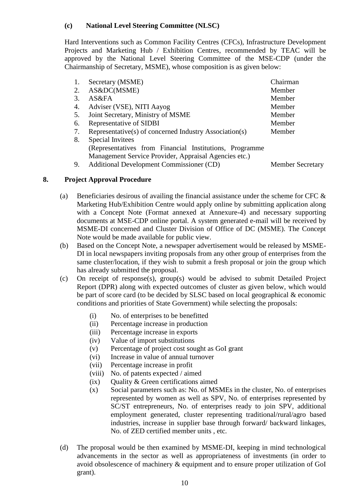### **(c) National Level Steering Committee (NLSC)**

Hard Interventions such as Common Facility Centres (CFCs), Infrastructure Development Projects and Marketing Hub / Exhibition Centres, recommended by TEAC will be approved by the National Level Steering Committee of the MSE-CDP (under the Chairmanship of Secretary, MSME), whose composition is as given below:

| 1. | Secretary (MSME)                                         | Chairman                |
|----|----------------------------------------------------------|-------------------------|
| 2. | AS&DC(MSME)                                              | Member                  |
| 3. | AS&FA                                                    | Member                  |
| 4. | Adviser (VSE), NITI Aayog                                | Member                  |
| 5. | Joint Secretary, Ministry of MSME                        | Member                  |
| 6. | Representative of SIDBI                                  | Member                  |
| 7. | Representative(s) of concerned Industry Association(s)   | Member                  |
| 8. | Special Invitees                                         |                         |
|    | (Representatives from Financial Institutions, Programme) |                         |
|    | Management Service Provider, Appraisal Agencies etc.)    |                         |
| 9. | Additional Development Commissioner (CD)                 | <b>Member Secretary</b> |

#### **8. Project Approval Procedure**

- (a) Beneficiaries desirous of availing the financial assistance under the scheme for CFC  $\&$ Marketing Hub/Exhibition Centre would apply online by submitting application along with a Concept Note (Format annexed at Annexure-4) and necessary supporting documents at MSE-CDP online portal. A system generated e-mail will be received by MSME-DI concerned and Cluster Division of Office of DC (MSME). The Concept Note would be made available for public view.
- (b) Based on the Concept Note, a newspaper advertisement would be released by MSME-DI in local newspapers inviting proposals from any other group of enterprises from the same cluster/location, if they wish to submit a fresh proposal or join the group which has already submitted the proposal.
- (c) On receipt of response(s), group(s) would be advised to submit Detailed Project Report (DPR) along with expected outcomes of cluster as given below, which would be part of score card (to be decided by SLSC based on local geographical & economic conditions and priorities of State Government) while selecting the proposals:
	- (i) No. of enterprises to be benefitted
	- (ii) Percentage increase in production
	- (iii) Percentage increase in exports
	- (iv) Value of import substitutions
	- (v) Percentage of project cost sought as GoI grant
	- (vi) Increase in value of annual turnover
	- (vii) Percentage increase in profit
	- (viii) No. of patents expected / aimed
	- (ix) Quality & Green certifications aimed
	- (x) Social parameters such as: No. of MSMEs in the cluster, No. of enterprises represented by women as well as SPV, No. of enterprises represented by SC/ST entrepreneurs, No. of enterprises ready to join SPV, additional employment generated, cluster representing traditional/rural/agro based industries, increase in supplier base through forward/ backward linkages, No. of ZED certified member units , etc.
- (d) The proposal would be then examined by MSME-DI, keeping in mind technological advancements in the sector as well as appropriateness of investments (in order to avoid obsolescence of machinery & equipment and to ensure proper utilization of GoI grant).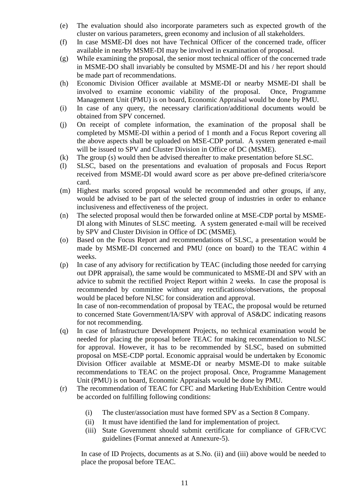- (e) The evaluation should also incorporate parameters such as expected growth of the cluster on various parameters, green economy and inclusion of all stakeholders.
- (f) In case MSME-DI does not have Technical Officer of the concerned trade, officer available in nearby MSME-DI may be involved in examination of proposal.
- (g) While examining the proposal, the senior most technical officer of the concerned trade in MSME-DO shall invariably be consulted by MSME-DI and his / her report should be made part of recommendations.
- (h) Economic Division Officer available at MSME-DI or nearby MSME-DI shall be involved to examine economic viability of the proposal. Once, Programme Management Unit (PMU) is on board, Economic Appraisal would be done by PMU.
- (i) In case of any query, the necessary clarification/additional documents would be obtained from SPV concerned.
- (j) On receipt of complete information, the examination of the proposal shall be completed by MSME-DI within a period of 1 month and a Focus Report covering all the above aspects shall be uploaded on MSE-CDP portal. A system generated e-mail will be issued to SPV and Cluster Division in Office of DC (MSME).
- (k) The group (s) would then be advised thereafter to make presentation before SLSC.
- (l) SLSC, based on the presentations and evaluation of proposals and Focus Report received from MSME-DI would award score as per above pre-defined criteria/score card.
- (m) Highest marks scored proposal would be recommended and other groups, if any, would be advised to be part of the selected group of industries in order to enhance inclusiveness and effectiveness of the project.
- (n) The selected proposal would then be forwarded online at MSE-CDP portal by MSME-DI along with Minutes of SLSC meeting. A system generated e-mail will be received by SPV and Cluster Division in Office of DC (MSME).
- (o) Based on the Focus Report and recommendations of SLSC, a presentation would be made by MSME-DI concerned and PMU (once on board) to the TEAC within 4 weeks.
- (p) In case of any advisory for rectification by TEAC (including those needed for carrying out DPR appraisal), the same would be communicated to MSME-DI and SPV with an advice to submit the rectified Project Report within 2 weeks. In case the proposal is recommended by committee without any rectifications/observations, the proposal would be placed before NLSC for consideration and approval. In case of non-recommendation of proposal by TEAC, the proposal would be returned

to concerned State Government/IA/SPV with approval of AS&DC indicating reasons for not recommending.

- (q) In case of Infrastructure Development Projects, no technical examination would be needed for placing the proposal before TEAC for making recommendation to NLSC for approval. However, it has to be recommended by SLSC, based on submitted proposal on MSE-CDP portal. Economic appraisal would be undertaken by Economic Division Officer available at MSME-DI or nearby MSME-DI to make suitable recommendations to TEAC on the project proposal. Once, Programme Management Unit (PMU) is on board, Economic Appraisals would be done by PMU.
- (r) The recommendation of TEAC for CFC and Marketing Hub/Exhibition Centre would be accorded on fulfilling following conditions:
	- (i) The cluster/association must have formed SPV as a Section 8 Company.
	- (ii) It must have identified the land for implementation of project.
	- (iii) State Government should submit certificate for compliance of GFR/CVC guidelines (Format annexed at Annexure-5).

In case of ID Projects, documents as at S.No. (ii) and (iii) above would be needed to place the proposal before TEAC.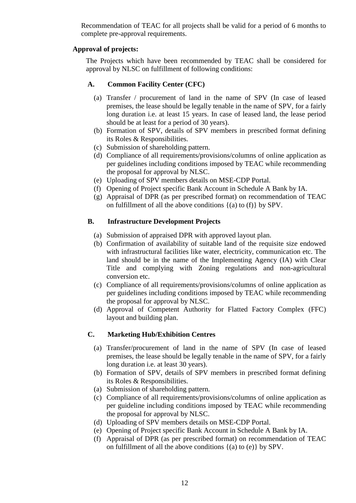Recommendation of TEAC for all projects shall be valid for a period of 6 months to complete pre-approval requirements.

# **Approval of projects:**

The Projects which have been recommended by TEAC shall be considered for approval by NLSC on fulfillment of following conditions:

# **A. Common Facility Center (CFC)**

- (a) Transfer / procurement of land in the name of SPV (In case of leased premises, the lease should be legally tenable in the name of SPV, for a fairly long duration i.e. at least 15 years. In case of leased land, the lease period should be at least for a period of 30 years).
- (b) Formation of SPV, details of SPV members in prescribed format defining its Roles & Responsibilities.
- (c) Submission of shareholding pattern.
- (d) Compliance of all requirements/provisions/columns of online application as per guidelines including conditions imposed by TEAC while recommending the proposal for approval by NLSC.
- (e) Uploading of SPV members details on MSE-CDP Portal.
- (f) Opening of Project specific Bank Account in Schedule A Bank by IA.
- (g) Appraisal of DPR (as per prescribed format) on recommendation of TEAC on fulfillment of all the above conditions  $\{(a) \text{ to } (f)\}$  by SPV.

# **B. Infrastructure Development Projects**

- (a) Submission of appraised DPR with approved layout plan.
- (b) Confirmation of availability of suitable land of the requisite size endowed with infrastructural facilities like water, electricity, communication etc. The land should be in the name of the Implementing Agency (IA) with Clear Title and complying with Zoning regulations and non-agricultural conversion etc.
- (c) Compliance of all requirements/provisions/columns of online application as per guidelines including conditions imposed by TEAC while recommending the proposal for approval by NLSC.
- (d) Approval of Competent Authority for Flatted Factory Complex (FFC) layout and building plan.

# **C. Marketing Hub/Exhibition Centres**

- (a) Transfer/procurement of land in the name of SPV (In case of leased premises, the lease should be legally tenable in the name of SPV, for a fairly long duration i.e. at least 30 years).
- (b) Formation of SPV, details of SPV members in prescribed format defining its Roles & Responsibilities.
- (a) Submission of shareholding pattern.
- (c) Compliance of all requirements/provisions/columns of online application as per guideline including conditions imposed by TEAC while recommending the proposal for approval by NLSC.
- (d) Uploading of SPV members details on MSE-CDP Portal.
- (e) Opening of Project specific Bank Account in Schedule A Bank by IA.
- (f) Appraisal of DPR (as per prescribed format) on recommendation of TEAC on fulfillment of all the above conditions {(a) to (e)} by SPV.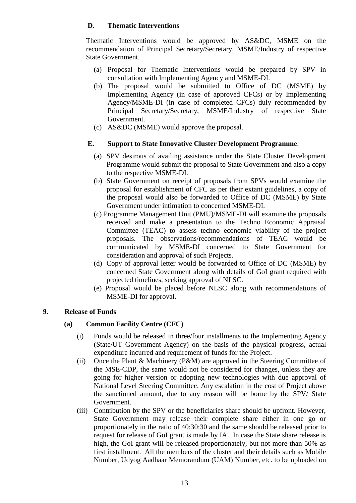# **D. Thematic Interventions**

Thematic Interventions would be approved by AS&DC, MSME on the recommendation of Principal Secretary/Secretary, MSME/Industry of respective State Government.

- (a) Proposal for Thematic Interventions would be prepared by SPV in consultation with Implementing Agency and MSME-DI.
- (b) The proposal would be submitted to Office of DC (MSME) by Implementing Agency (in case of approved CFCs) or by Implementing Agency/MSME-DI (in case of completed CFCs) duly recommended by Principal Secretary/Secretary, MSME/Industry of respective State Government.
- (c) AS&DC (MSME) would approve the proposal.

#### **E. Support to State Innovative Cluster Development Programme**:

- (a) SPV desirous of availing assistance under the State Cluster Development Programme would submit the proposal to State Government and also a copy to the respective MSME-DI.
- (b) State Government on receipt of proposals from SPVs would examine the proposal for establishment of CFC as per their extant guidelines, a copy of the proposal would also be forwarded to Office of DC (MSME) by State Government under intimation to concerned MSME-DI.
- (c) Programme Management Unit (PMU)/MSME-DI will examine the proposals received and make a presentation to the Techno Economic Appraisal Committee (TEAC) to assess techno economic viability of the project proposals. The observations/recommendations of TEAC would be communicated by MSME-DI concerned to State Government for consideration and approval of such Projects.
- (d) Copy of approval letter would be forwarded to Office of DC (MSME) by concerned State Government along with details of GoI grant required with projected timelines, seeking approval of NLSC.
- (e) Proposal would be placed before NLSC along with recommendations of MSME-DI for approval.

#### **9. Release of Funds**

## **(a) Common Facility Centre (CFC)**

- (i) Funds would be released in three/four installments to the Implementing Agency (State/UT Government Agency) on the basis of the physical progress, actual expenditure incurred and requirement of funds for the Project.
- (ii) Once the Plant & Machinery (P&M) are approved in the Steering Committee of the MSE-CDP, the same would not be considered for changes, unless they are going for higher version or adopting new technologies with due approval of National Level Steering Committee. Any escalation in the cost of Project above the sanctioned amount, due to any reason will be borne by the SPV/ State Government.
- (iii) Contribution by the SPV or the beneficiaries share should be upfront. However, State Government may release their complete share either in one go or proportionately in the ratio of 40:30:30 and the same should be released prior to request for release of GoI grant is made by IA. In case the State share release is high, the GoI grant will be released proportionately, but not more than 50% as first installment. All the members of the cluster and their details such as Mobile Number, Udyog Aadhaar Memorandum (UAM) Number, etc. to be uploaded on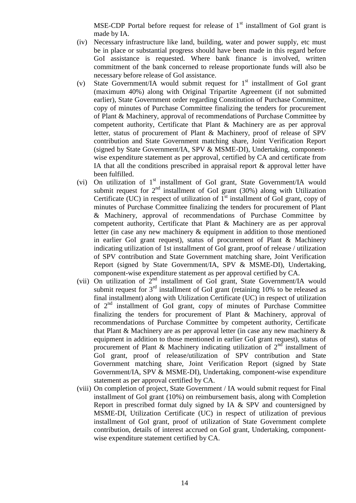MSE-CDP Portal before request for release of  $1<sup>st</sup>$  installment of GoI grant is made by IA.

- (iv) Necessary infrastructure like land, building, water and power supply, etc must be in place or substantial progress should have been made in this regard before GoI assistance is requested. Where bank finance is involved, written commitment of the bank concerned to release proportionate funds will also be necessary before release of GoI assistance.
- (v) State Government/IA would submit request for  $1<sup>st</sup>$  installment of GoI grant (maximum 40%) along with Original Tripartite Agreement (if not submitted earlier), State Government order regarding Constitution of Purchase Committee, copy of minutes of Purchase Committee finalizing the tenders for procurement of Plant & Machinery, approval of recommendations of Purchase Committee by competent authority, Certificate that Plant & Machinery are as per approval letter, status of procurement of Plant & Machinery, proof of release of SPV contribution and State Government matching share, Joint Verification Report (signed by State Government/IA, SPV & MSME-DI), Undertaking, componentwise expenditure statement as per approval, certified by CA and certificate from IA that all the conditions prescribed in appraisal report & approval letter have been fulfilled.
- (vi) On utilization of  $1<sup>st</sup>$  installment of GoI grant, State Government/IA would submit request for  $2<sup>nd</sup>$  installment of GoI grant (30%) along with Utilization Certificate (UC) in respect of utilization of  $1<sup>st</sup>$  installment of GoI grant, copy of minutes of Purchase Committee finalizing the tenders for procurement of Plant & Machinery, approval of recommendations of Purchase Committee by competent authority, Certificate that Plant & Machinery are as per approval letter (in case any new machinery & equipment in addition to those mentioned in earlier GoI grant request), status of procurement of Plant & Machinery indicating utilization of 1st installment of GoI grant, proof of release / utilization of SPV contribution and State Government matching share, Joint Verification Report (signed by State Government/IA, SPV & MSME-DI), Undertaking, component-wise expenditure statement as per approval certified by CA.
- (vii) On utilization of  $2^{nd}$  installment of GoI grant, State Government/IA would submit request for  $3<sup>rd</sup>$  installment of GoI grant (retaining 10% to be released as final installment) along with Utilization Certificate (UC) in respect of utilization of  $2<sup>nd</sup>$  installment of GoI grant, copy of minutes of Purchase Committee finalizing the tenders for procurement of Plant & Machinery, approval of recommendations of Purchase Committee by competent authority, Certificate that Plant & Machinery are as per approval letter (in case any new machinery & equipment in addition to those mentioned in earlier GoI grant request), status of procurement of Plant & Machinery indicating utilization of  $2<sup>nd</sup>$  installment of GoI grant, proof of release/utilization of SPV contribution and State Government matching share, Joint Verification Report (signed by State Government/IA, SPV & MSME-DI), Undertaking, component-wise expenditure statement as per approval certified by CA.
- (viii) On completion of project, State Government / IA would submit request for Final installment of GoI grant (10%) on reimbursement basis, along with Completion Report in prescribed format duly signed by IA & SPV and countersigned by MSME-DI, Utilization Certificate (UC) in respect of utilization of previous installment of GoI grant, proof of utilization of State Government complete contribution, details of interest accrued on GoI grant, Undertaking, componentwise expenditure statement certified by CA.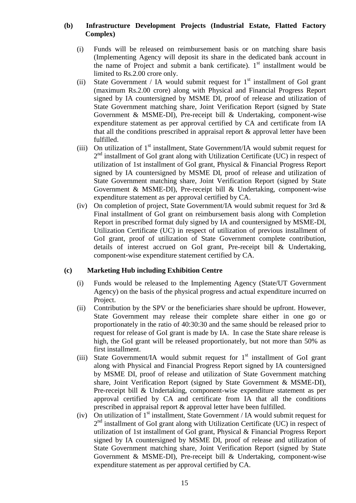#### **(b) Infrastructure Development Projects (Industrial Estate, Flatted Factory Complex)**

- (i) Funds will be released on reimbursement basis or on matching share basis (Implementing Agency will deposit its share in the dedicated bank account in the name of Project and submit a bank certificate).  $1<sup>st</sup>$  installment would be limited to Rs.2.00 crore only.
- (ii) State Government / IA would submit request for  $1<sup>st</sup>$  installment of GoI grant (maximum Rs.2.00 crore) along with Physical and Financial Progress Report signed by IA countersigned by MSME DI, proof of release and utilization of State Government matching share, Joint Verification Report (signed by State Government & MSME-DI), Pre-receipt bill & Undertaking, component-wise expenditure statement as per approval certified by CA and certificate from IA that all the conditions prescribed in appraisal report & approval letter have been fulfilled.
- (iii) On utilization of  $1<sup>st</sup>$  installment, State Government/IA would submit request for 2<sup>nd</sup> installment of GoI grant along with Utilization Certificate (UC) in respect of utilization of 1st installment of GoI grant, Physical & Financial Progress Report signed by IA countersigned by MSME DI, proof of release and utilization of State Government matching share, Joint Verification Report (signed by State Government & MSME-DI), Pre-receipt bill & Undertaking, component-wise expenditure statement as per approval certified by CA.
- (iv) On completion of project, State Government/IA would submit request for 3rd & Final installment of GoI grant on reimbursement basis along with Completion Report in prescribed format duly signed by IA and countersigned by MSME-DI, Utilization Certificate (UC) in respect of utilization of previous installment of GoI grant, proof of utilization of State Government complete contribution, details of interest accrued on GoI grant, Pre-receipt bill & Undertaking, component-wise expenditure statement certified by CA.

## **(c) Marketing Hub including Exhibition Centre**

- (i) Funds would be released to the Implementing Agency (State/UT Government Agency) on the basis of the physical progress and actual expenditure incurred on Project.
- (ii) Contribution by the SPV or the beneficiaries share should be upfront. However, State Government may release their complete share either in one go or proportionately in the ratio of 40:30:30 and the same should be released prior to request for release of GoI grant is made by IA. In case the State share release is high, the GoI grant will be released proportionately, but not more than 50% as first installment.
- (iii) State Government/IA would submit request for  $1<sup>st</sup>$  installment of GoI grant along with Physical and Financial Progress Report signed by IA countersigned by MSME DI, proof of release and utilization of State Government matching share, Joint Verification Report (signed by State Government & MSME-DI), Pre-receipt bill & Undertaking, component-wise expenditure statement as per approval certified by CA and certificate from IA that all the conditions prescribed in appraisal report & approval letter have been fulfilled.
- (iv) On utilization of  $1<sup>st</sup>$  installment, State Government / IA would submit request for 2<sup>nd</sup> installment of GoI grant along with Utilization Certificate (UC) in respect of utilization of 1st installment of GoI grant, Physical & Financial Progress Report signed by IA countersigned by MSME DI, proof of release and utilization of State Government matching share, Joint Verification Report (signed by State Government & MSME-DI), Pre-receipt bill & Undertaking, component-wise expenditure statement as per approval certified by CA.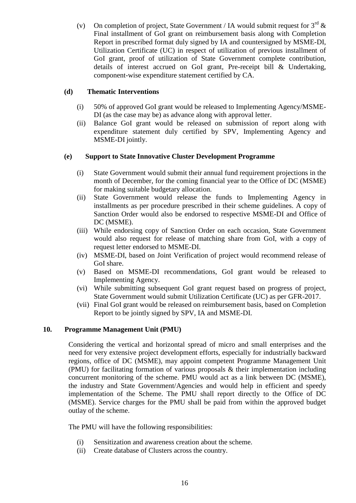(v) On completion of project, State Government / IA would submit request for  $3<sup>rd</sup>$  & Final installment of GoI grant on reimbursement basis along with Completion Report in prescribed format duly signed by IA and countersigned by MSME-DI, Utilization Certificate (UC) in respect of utilization of previous installment of GoI grant, proof of utilization of State Government complete contribution, details of interest accrued on GoI grant, Pre-receipt bill & Undertaking, component-wise expenditure statement certified by CA.

## **(d) Thematic Interventions**

- (i) 50% of approved GoI grant would be released to Implementing Agency/MSME-DI (as the case may be) as advance along with approval letter.
- (ii) Balance GoI grant would be released on submission of report along with expenditure statement duly certified by SPV, Implementing Agency and MSME-DI jointly.

#### **(e) Support to State Innovative Cluster Development Programme**

- (i) State Government would submit their annual fund requirement projections in the month of December, for the coming financial year to the Office of DC (MSME) for making suitable budgetary allocation.
- (ii) State Government would release the funds to Implementing Agency in installments as per procedure prescribed in their scheme guidelines. A copy of Sanction Order would also be endorsed to respective MSME-DI and Office of DC (MSME).
- (iii) While endorsing copy of Sanction Order on each occasion, State Government would also request for release of matching share from GoI, with a copy of request letter endorsed to MSME-DI.
- (iv) MSME-DI, based on Joint Verification of project would recommend release of GoI share.
- (v) Based on MSME-DI recommendations, GoI grant would be released to Implementing Agency.
- (vi) While submitting subsequent GoI grant request based on progress of project, State Government would submit Utilization Certificate (UC) as per GFR-2017.
- (vii) Final GoI grant would be released on reimbursement basis, based on Completion Report to be jointly signed by SPV, IA and MSME-DI.

#### **10. Programme Management Unit (PMU)**

Considering the vertical and horizontal spread of micro and small enterprises and the need for very extensive project development efforts, especially for industrially backward regions, office of DC (MSME), may appoint competent Programme Management Unit (PMU) for facilitating formation of various proposals & their implementation including concurrent monitoring of the scheme. PMU would act as a link between DC (MSME), the industry and State Government/Agencies and would help in efficient and speedy implementation of the Scheme. The PMU shall report directly to the Office of DC (MSME). Service charges for the PMU shall be paid from within the approved budget outlay of the scheme.

The PMU will have the following responsibilities:

- (i) Sensitization and awareness creation about the scheme.
- (ii) Create database of Clusters across the country.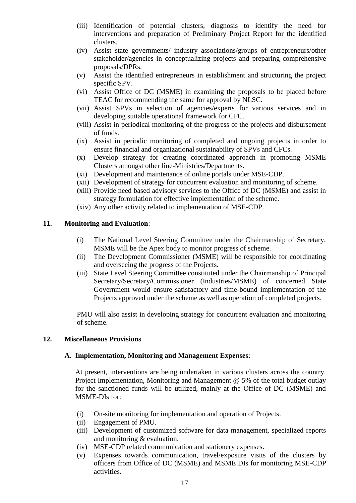- (iii) Identification of potential clusters, diagnosis to identify the need for interventions and preparation of Preliminary Project Report for the identified clusters.
- (iv) Assist state governments/ industry associations/groups of entrepreneurs/other stakeholder/agencies in conceptualizing projects and preparing comprehensive proposals/DPRs.
- (v) Assist the identified entrepreneurs in establishment and structuring the project specific SPV.
- (vi) Assist Office of DC (MSME) in examining the proposals to be placed before TEAC for recommending the same for approval by NLSC.
- (vii) Assist SPVs in selection of agencies/experts for various services and in developing suitable operational framework for CFC.
- (viii) Assist in periodical monitoring of the progress of the projects and disbursement of funds.
- (ix) Assist in periodic monitoring of completed and ongoing projects in order to ensure financial and organizational sustainability of SPVs and CFCs.
- (x) Develop strategy for creating coordinated approach in promoting MSME Clusters amongst other line-Ministries/Departments.
- (xi) Development and maintenance of online portals under MSE-CDP.
- (xii) Development of strategy for concurrent evaluation and monitoring of scheme.
- (xiii) Provide need based advisory services to the Office of DC (MSME) and assist in strategy formulation for effective implementation of the scheme.
- (xiv) Any other activity related to implementation of MSE-CDP.

#### **11. Monitoring and Evaluation**:

- (i) The National Level Steering Committee under the Chairmanship of Secretary, MSME will be the Apex body to monitor progress of scheme.
- (ii) The Development Commissioner (MSME) will be responsible for coordinating and overseeing the progress of the Projects.
- (iii) State Level Steering Committee constituted under the Chairmanship of Principal Secretary/Secretary/Commissioner (Industries/MSME) of concerned State Government would ensure satisfactory and time-bound implementation of the Projects approved under the scheme as well as operation of completed projects.

PMU will also assist in developing strategy for concurrent evaluation and monitoring of scheme.

#### **12. Miscellaneous Provisions**

#### **A. Implementation, Monitoring and Management Expenses**:

At present, interventions are being undertaken in various clusters across the country. Project Implementation, Monitoring and Management @ 5% of the total budget outlay for the sanctioned funds will be utilized, mainly at the Office of DC (MSME) and MSME-DIs for:

- (i) On-site monitoring for implementation and operation of Projects.
- (ii) Engagement of PMU.
- (iii) Development of customized software for data management, specialized reports and monitoring & evaluation.
- (iv) MSE-CDP related communication and stationery expenses.
- (v) Expenses towards communication, travel/exposure visits of the clusters by officers from Office of DC (MSME) and MSME DIs for monitoring MSE-CDP activities.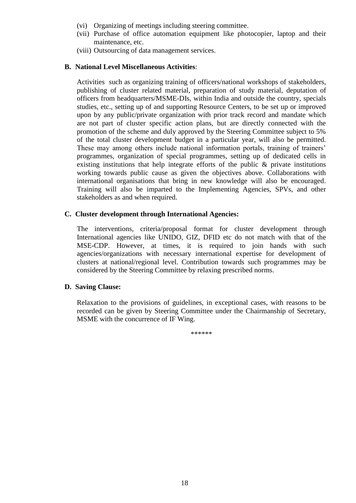- (vi) Organizing of meetings including steering committee.
- (vii) Purchase of office automation equipment like photocopier, laptop and their maintenance, etc.
- (viii) Outsourcing of data management services.

### **B. National Level Miscellaneous Activities**:

Activities such as organizing training of officers/national workshops of stakeholders, publishing of cluster related material, preparation of study material, deputation of officers from headquarters/MSME-DIs, within India and outside the country, specials studies, etc., setting up of and supporting Resource Centers, to be set up or improved upon by any public/private organization with prior track record and mandate which are not part of cluster specific action plans, but are directly connected with the promotion of the scheme and duly approved by the Steering Committee subject to 5% of the total cluster development budget in a particular year, will also be permitted. These may among others include national information portals, training of trainers' programmes, organization of special programmes, setting up of dedicated cells in existing institutions that help integrate efforts of the public  $\&$  private institutions working towards public cause as given the objectives above. Collaborations with international organisations that bring in new knowledge will also be encouraged. Training will also be imparted to the Implementing Agencies, SPVs, and other stakeholders as and when required.

#### **C. Cluster development through International Agencies:**

The interventions, criteria/proposal format for cluster development through International agencies like UNIDO, GIZ, DFID etc do not match with that of the MSE-CDP. However, at times, it is required to join hands with such agencies/organizations with necessary international expertise for development of clusters at national/regional level. Contribution towards such programmes may be considered by the Steering Committee by relaxing prescribed norms.

## **D. Saving Clause:**

Relaxation to the provisions of guidelines, in exceptional cases, with reasons to be recorded can be given by Steering Committee under the Chairmanship of Secretary, MSME with the concurrence of IF Wing.

\*\*\*\*\*\*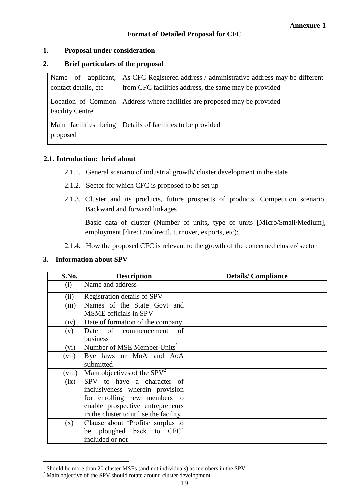# **Format of Detailed Proposal for CFC**

# **1. Proposal under consideration**

# **2. Brief particulars of the proposal**

| Name of applicant,     | As CFC Registered address / administrative address may be different |
|------------------------|---------------------------------------------------------------------|
| contact details, etc   | from CFC facilities address, the same may be provided               |
| Location of Common     | Address where facilities are proposed may be provided               |
| <b>Facility Centre</b> |                                                                     |
| Main facilities being  | Details of facilities to be provided                                |
| proposed               |                                                                     |

## **2.1. Introduction: brief about**

- 2.1.1. General scenario of industrial growth/ cluster development in the state
- 2.1.2. Sector for which CFC is proposed to be set up
- 2.1.3. Cluster and its products, future prospects of products, Competition scenario, Backward and forward linkages

Basic data of cluster (Number of units, type of units [Micro/Small/Medium], employment [direct /indirect], turnover, exports, etc):

2.1.4. How the proposed CFC is relevant to the growth of the concerned cluster/ sector

## **3. Information about SPV**

| S.No.  | <b>Description</b>                                                                                                                                                          | <b>Details/Compliance</b> |
|--------|-----------------------------------------------------------------------------------------------------------------------------------------------------------------------------|---------------------------|
| (i)    | Name and address                                                                                                                                                            |                           |
| (ii)   | Registration details of SPV                                                                                                                                                 |                           |
| (iii)  | Names of the State Govt and<br>MSME officials in SPV                                                                                                                        |                           |
| (iv)   | Date of formation of the company                                                                                                                                            |                           |
| (v)    | Date of commencement<br><sub>of</sub><br>business                                                                                                                           |                           |
| (vi)   | Number of MSE Member Units <sup>1</sup>                                                                                                                                     |                           |
| (vii)  | Bye laws or MoA and AoA<br>submitted                                                                                                                                        |                           |
| (viii) | Main objectives of the $SPV2$                                                                                                                                               |                           |
| (ix)   | SPV to have a character of<br>inclusiveness wherein provision<br>for enrolling new members to<br>enable prospective entrepreneurs<br>in the cluster to utilise the facility |                           |
| (x)    | Clause about 'Profits/ surplus to<br>be ploughed back to CFC'<br>included or not                                                                                            |                           |

 1 Should be more than 20 cluster MSEs (and not individuals) as members in the SPV

<sup>&</sup>lt;sup>2</sup> Main objective of the SPV should rotate around cluster development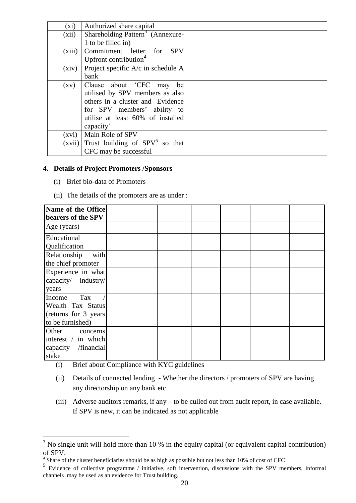| $(x_i)$ | Authorized share capital                     |  |
|---------|----------------------------------------------|--|
| (xii)   | Shareholding Pattern <sup>3</sup> (Annexure- |  |
|         | 1 to be filled in)                           |  |
| (xiii)  | Commitment letter for<br><b>SPV</b>          |  |
|         | Upfront contribution <sup>4</sup>            |  |
| (xiv)   | Project specific A/c in schedule A           |  |
|         | bank                                         |  |
| (xv)    | Clause about 'CFC may<br>be                  |  |
|         | utilised by SPV members as also              |  |
|         | others in a cluster and Evidence             |  |
|         | for SPV members' ability to                  |  |
|         | utilise at least 60% of installed            |  |
|         | capacity'                                    |  |
| (xvi)   | Main Role of SPV                             |  |
| (xvii)  | Trust building of $SPV^5$ so that            |  |
|         | CFC may be successful                        |  |

#### **4. Details of Project Promoters /Sponsors**

- (i) Brief bio-data of Promoters
- (ii) The details of the promoters are as under :

| Name of the Office<br>bearers of the SPV                                        |  |  |  |  |
|---------------------------------------------------------------------------------|--|--|--|--|
| Age (years)                                                                     |  |  |  |  |
| Educational<br>Qualification                                                    |  |  |  |  |
| Relationship<br>with<br>the chief promoter                                      |  |  |  |  |
| Experience in what<br>capacity/ industry/<br>years                              |  |  |  |  |
| Tax<br>Income<br>Wealth Tax Status<br>(returns for 3 years)<br>to be furnished) |  |  |  |  |
| Other<br>concerns<br>interest / in which<br>capacity /financial<br>stake        |  |  |  |  |

(i) Brief about Compliance with KYC guidelines

1

- (ii) Details of connected lending Whether the directors / promoters of SPV are having any directorship on any bank etc.
- (iii) Adverse auditors remarks, if any to be culled out from audit report, in case available. If SPV is new, it can be indicated as not applicable

 $3$  No single unit will hold more than 10 % in the equity capital (or equivalent capital contribution) of SPV.<br><sup>4</sup> Share of the cluster beneficiaries should be as high as possible but not less than 10% of cost of CFC<br>5. Faidance of as lasting assessment (initiating as faithermentian, disposions with the SPV m

Evidence of collective programme / initiative, soft intervention, discussions with the SPV members, informal channels may be used as an evidence for Trust building.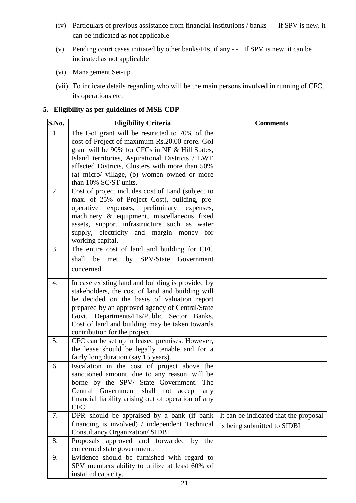- (iv) Particulars of previous assistance from financial institutions / banks If SPV is new, it can be indicated as not applicable
- (v) Pending court cases initiated by other banks/FIs, if any - If SPV is new, it can be indicated as not applicable
- (vi) Management Set-up
- (vii) To indicate details regarding who will be the main persons involved in running of CFC, its operations etc.

# **5. Eligibility as per guidelines of MSE-CDP**

| S.No. | <b>Eligibility Criteria</b>                                                                                                                                                                                                                                                                                                              | <b>Comments</b>                                                      |
|-------|------------------------------------------------------------------------------------------------------------------------------------------------------------------------------------------------------------------------------------------------------------------------------------------------------------------------------------------|----------------------------------------------------------------------|
| 1.    | The GoI grant will be restricted to 70% of the<br>cost of Project of maximum Rs.20.00 crore. GoI<br>grant will be 90% for CFCs in NE & Hill States,<br>Island territories, Aspirational Districts / LWE<br>affected Districts, Clusters with more than 50%<br>(a) micro/ village, (b) women owned or more<br>than 10% SC/ST units.       |                                                                      |
| 2.    | Cost of project includes cost of Land (subject to<br>max. of 25% of Project Cost), building, pre-<br>operative<br>expenses, preliminary expenses,<br>machinery & equipment, miscellaneous fixed<br>assets, support infrastructure such as water<br>supply, electricity and margin money for<br>working capital.                          |                                                                      |
| 3.    | The entire cost of land and building for CFC<br>shall be met by SPV/State<br>Government<br>concerned.                                                                                                                                                                                                                                    |                                                                      |
| 4.    | In case existing land and building is provided by<br>stakeholders, the cost of land and building will<br>be decided on the basis of valuation report<br>prepared by an approved agency of Central/State<br>Govt. Departments/FIs/Public Sector Banks.<br>Cost of land and building may be taken towards<br>contribution for the project. |                                                                      |
| 5.    | CFC can be set up in leased premises. However,<br>the lease should be legally tenable and for a<br>fairly long duration (say 15 years).                                                                                                                                                                                                  |                                                                      |
| 6.    | Escalation in the cost of project above the<br>sanctioned amount, due to any reason, will be<br>borne by the SPV/ State Government. The<br>Central Government shall not accept any<br>financial liability arising out of operation of any<br>CFC.                                                                                        |                                                                      |
| 7.    | DPR should be appraised by a bank (if bank<br>financing is involved) / independent Technical<br>Consultancy Organization/ SIDBI.                                                                                                                                                                                                         | It can be indicated that the proposal<br>is being submitted to SIDBI |
| 8.    | Proposals approved and forwarded by the<br>concerned state government.                                                                                                                                                                                                                                                                   |                                                                      |
| 9.    | Evidence should be furnished with regard to<br>SPV members ability to utilize at least 60% of<br>installed capacity.                                                                                                                                                                                                                     |                                                                      |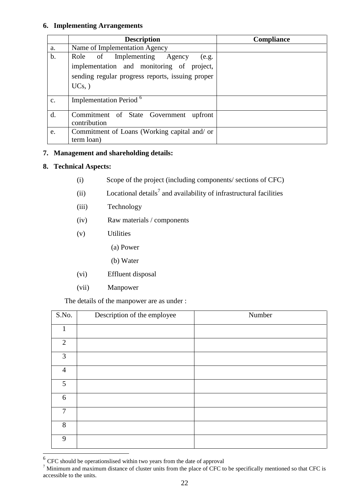#### **6. Implementing Arrangements**

|                | <b>Description</b>                                                                                                                                | <b>Compliance</b> |
|----------------|---------------------------------------------------------------------------------------------------------------------------------------------------|-------------------|
| a.             | Name of Implementation Agency                                                                                                                     |                   |
| b.             | Role of Implementing Agency<br>(e.g.<br>implementation and monitoring of project,<br>sending regular progress reports, issuing proper<br>$UCs,$ ) |                   |
| $\mathbf{C}$ . | Implementation Period <sup>6</sup>                                                                                                                |                   |
| d.             | Commitment of State Government<br>upfront<br>contribution                                                                                         |                   |
| e.             | Commitment of Loans (Working capital and/ or<br>term loan)                                                                                        |                   |

# **7. Management and shareholding details:**

# **8. Technical Aspects:**

- (i) Scope of the project (including components/ sections of CFC)
- (ii) Locational details<sup>7</sup> and availability of infrastructural facilities
- (iii) Technology
- (iv) Raw materials / components
- (v) Utilities
	- (a) Power
	- (b) Water
- (vi) Effluent disposal
- (vii) Manpower

The details of the manpower are as under :

| S.No.          | Description of the employee | Number |
|----------------|-----------------------------|--------|
| $\mathbf{1}$   |                             |        |
| $\overline{2}$ |                             |        |
| $\overline{3}$ |                             |        |
| $\overline{4}$ |                             |        |
| 5              |                             |        |
| 6              |                             |        |
| $\tau$         |                             |        |
| 8              |                             |        |
| 9              |                             |        |

EXC should be operationslised within two years from the date of approval

<sup>&</sup>lt;sup>7</sup> Minimum and maximum distance of cluster units from the place of CFC to be specifically mentioned so that CFC is accessible to the units.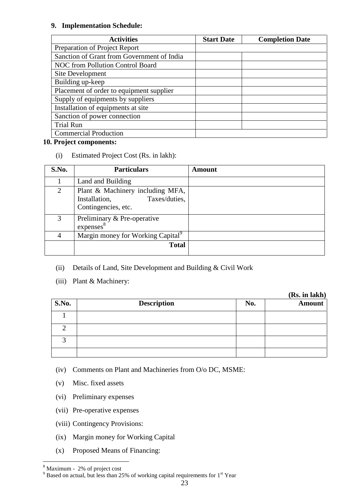#### **9. Implementation Schedule:**

| <b>Activities</b>                          | <b>Start Date</b> | <b>Completion Date</b> |
|--------------------------------------------|-------------------|------------------------|
| Preparation of Project Report              |                   |                        |
| Sanction of Grant from Government of India |                   |                        |
| NOC from Pollution Control Board           |                   |                        |
| Site Development                           |                   |                        |
| Building up-keep                           |                   |                        |
| Placement of order to equipment supplier   |                   |                        |
| Supply of equipments by suppliers          |                   |                        |
| Installation of equipments at site         |                   |                        |
| Sanction of power connection               |                   |                        |
| <b>Trial Run</b>                           |                   |                        |
| <b>Commercial Production</b>               |                   |                        |

## **10. Project components:**

(i) Estimated Project Cost (Rs. in lakh):

| S.No. | <b>Particulars</b>                                                                        | <b>Amount</b> |
|-------|-------------------------------------------------------------------------------------------|---------------|
|       | Land and Building                                                                         |               |
| 2     | Plant & Machinery including MFA,<br>Taxes/duties,<br>Installation,<br>Contingencies, etc. |               |
| 3     | Preliminary & Pre-operative<br>express <sup>8</sup>                                       |               |
| 4     | Margin money for Working Capital <sup>9</sup>                                             |               |
|       | <b>Total</b>                                                                              |               |

# (ii) Details of Land, Site Development and Building & Civil Work

(iii) Plant & Machinery:

**(Rs. in lakh)**

| <b>S.No.</b> | <b>Description</b> | No. | ( <b>дл</b> . ні кіліі <i>)</i><br><b>Amount</b> |
|--------------|--------------------|-----|--------------------------------------------------|
|              |                    |     |                                                  |
|              |                    |     |                                                  |
|              |                    |     |                                                  |
|              |                    |     |                                                  |

(iv) Comments on Plant and Machineries from O/o DC, MSME:

- (v) Misc. fixed assets
- (vi) Preliminary expenses
- (vii) Pre-operative expenses
- (viii) Contingency Provisions:
- (ix) Margin money for Working Capital
- (x) Proposed Means of Financing:

<u>.</u>

<sup>8</sup> Maximum - 2% of project cost

 $9$  Based on actual, but less than 25% of working capital requirements for 1<sup>st</sup> Year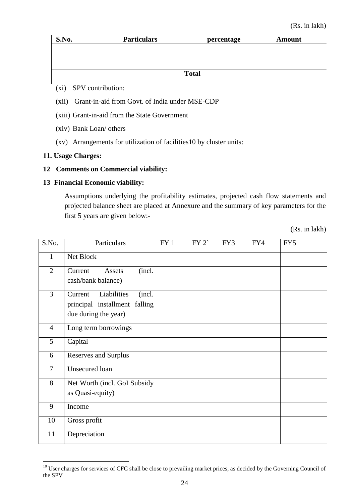| S.No. | <b>Particulars</b> | percentage | <b>Amount</b> |
|-------|--------------------|------------|---------------|
|       |                    |            |               |
|       |                    |            |               |
|       |                    |            |               |
|       | <b>Total</b>       |            |               |

(xi) SPV contribution:

- (xii) Grant-in-aid from Govt. of India under MSE-CDP
- (xiii) Grant-in-aid from the State Government
- (xiv) Bank Loan/ others
- (xv) Arrangements for utilization of facilities10 by cluster units:

#### **11. Usage Charges:**

<u>.</u>

#### **12 Comments on Commercial viability:**

#### **13 Financial Economic viability:**

Assumptions underlying the profitability estimates, projected cash flow statements and projected balance sheet are placed at Annexure and the summary of key parameters for the first 5 years are given below:-

(Rs. in lakh)

| S.No.          | Particulars                                                                               | FY 1 | FY 2 | FY3 | FY4 | FY5 |
|----------------|-------------------------------------------------------------------------------------------|------|------|-----|-----|-----|
| $\mathbf{1}$   | Net Block                                                                                 |      |      |     |     |     |
| $\overline{2}$ | (incl.<br>Current<br>Assets<br>cash/bank balance)                                         |      |      |     |     |     |
| $\overline{3}$ | Liabilities<br>(incl.<br>Current<br>principal installment falling<br>due during the year) |      |      |     |     |     |
| $\overline{4}$ | Long term borrowings                                                                      |      |      |     |     |     |
| 5              | Capital                                                                                   |      |      |     |     |     |
| 6              | <b>Reserves and Surplus</b>                                                               |      |      |     |     |     |
| $\overline{7}$ | Unsecured loan                                                                            |      |      |     |     |     |
| 8              | Net Worth (incl. GoI Subsidy<br>as Quasi-equity)                                          |      |      |     |     |     |
| 9              | Income                                                                                    |      |      |     |     |     |
| 10             | Gross profit                                                                              |      |      |     |     |     |
| 11             | Depreciation                                                                              |      |      |     |     |     |

<sup>&</sup>lt;sup>10</sup> User charges for services of CFC shall be close to prevailing market prices, as decided by the Governing Council of the SPV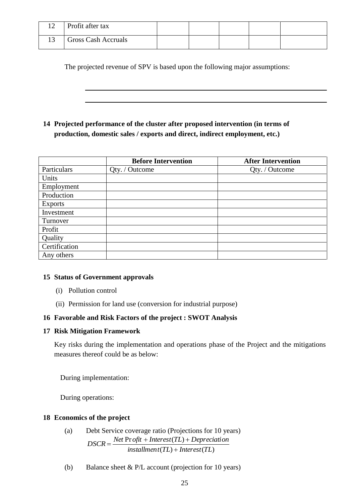| 1 <sub>0</sub> | Profit after tax           |  |  |  |
|----------------|----------------------------|--|--|--|
|                | <b>Gross Cash Accruals</b> |  |  |  |

The projected revenue of SPV is based upon the following major assumptions:

**14 Projected performance of the cluster after proposed intervention (in terms of production, domestic sales / exports and direct, indirect employment, etc.)**

|                | <b>Before Intervention</b> | <b>After Intervention</b> |
|----------------|----------------------------|---------------------------|
| Particulars    | Qty. / Outcome             | Qty. / Outcome            |
| Units          |                            |                           |
| Employment     |                            |                           |
| Production     |                            |                           |
| <b>Exports</b> |                            |                           |
| Investment     |                            |                           |
| Turnover       |                            |                           |
| Profit         |                            |                           |
| Quality        |                            |                           |
| Certification  |                            |                           |
| Any others     |                            |                           |

## **15 Status of Government approvals**

- (i) Pollution control
- (ii) Permission for land use (conversion for industrial purpose)

## **16 Favorable and Risk Factors of the project : SWOT Analysis**

**17 Risk Mitigation Framework** 

Key risks during the implementation and operations phase of the Project and the mitigations measures thereof could be as below:

During implementation:

During operations:

## **18 Economics of the project**

- (a) Debt Service coverage ratio (Projections for 10 years)  $intallment(TL) + Interest(TL)$  $DSCR = \frac{Net \text{ Pr } of it + Interest(TL) + Depreciation}{T}$
- (b) Balance sheet & P/L account (projection for 10 years)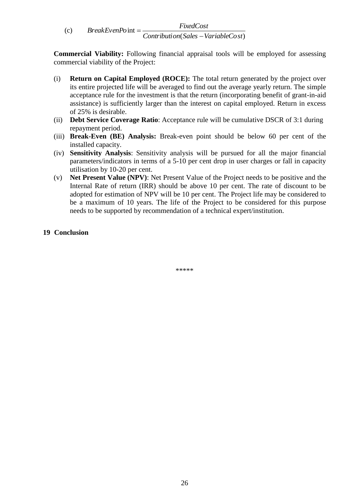$(c)$ ( ) *Contribution Sales VariableCost*  $BreakEvenPoint = \frac{FixedCost}{\sigma}$ 

**Commercial Viability:** Following financial appraisal tools will be employed for assessing commercial viability of the Project:

- (i) **Return on Capital Employed (ROCE):** The total return generated by the project over its entire projected life will be averaged to find out the average yearly return. The simple acceptance rule for the investment is that the return (incorporating benefit of grant-in-aid assistance) is sufficiently larger than the interest on capital employed. Return in excess of 25% is desirable.
- (ii) **Debt Service Coverage Ratio**: Acceptance rule will be cumulative DSCR of 3:1 during repayment period.
- (iii) **Break-Even (BE) Analysis:** Break-even point should be below 60 per cent of the installed capacity.
- (iv) **Sensitivity Analysis**: Sensitivity analysis will be pursued for all the major financial parameters/indicators in terms of a 5-10 per cent drop in user charges or fall in capacity utilisation by 10-20 per cent.
- (v) **Net Present Value (NPV)**: Net Present Value of the Project needs to be positive and the Internal Rate of return (IRR) should be above 10 per cent. The rate of discount to be adopted for estimation of NPV will be 10 per cent. The Project life may be considered to be a maximum of 10 years. The life of the Project to be considered for this purpose needs to be supported by recommendation of a technical expert/institution.

## **19 Conclusion**

\*\*\*\*\*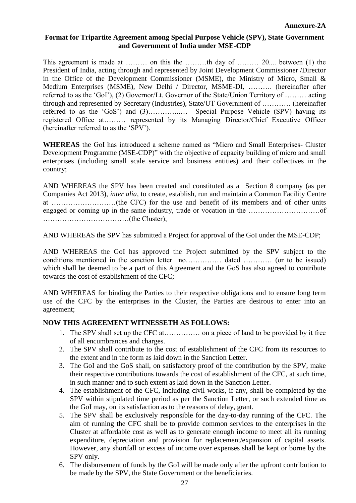### **Format for Tripartite Agreement among Special Purpose Vehicle (SPV), State Government and Government of India under MSE-CDP**

This agreement is made at ……… on this the ………th day of ……… 20.... between (1) the President of India, acting through and represented by Joint Development Commissioner /Director in the Office of the Development Commissioner (MSME), the Ministry of Micro, Small  $\&$ Medium Enterprises (MSME), New Delhi / Director, MSME-DI, ………. (hereinafter after referred to as the "GoI"), (2) Governor/Lt. Governor of the State/Union Territory of ……… acting through and represented by Secretary (Industries), State/UT Government of ………… (hereinafter referred to as the 'GoS') and (3)……………... Special Purpose Vehicle (SPV) having its registered Office at……… represented by its Managing Director/Chief Executive Officer (hereinafter referred to as the "SPV").

**WHEREAS** the GoI has introduced a scheme named as "Micro and Small Enterprises- Cluster Development Programme (MSE-CDP)" with the objective of capacity building of micro and small enterprises (including small scale service and business entities) and their collectives in the country;

AND WHEREAS the SPV has been created and constituted as a Section 8 company (as per Companies Act 2013), *inter alia*, to create, establish, run and maintain a Common Facility Centre at ………………………(the CFC) for the use and benefit of its members and of other units engaged or coming up in the same industry, trade or vocation in the …………………………of ………………………………(the Cluster);

AND WHEREAS the SPV has submitted a Project for approval of the GoI under the MSE-CDP;

AND WHEREAS the GoI has approved the Project submitted by the SPV subject to the conditions mentioned in the sanction letter no…………… dated ………… (or to be issued) which shall be deemed to be a part of this Agreement and the GoS has also agreed to contribute towards the cost of establishment of the CFC;

AND WHEREAS for binding the Parties to their respective obligations and to ensure long term use of the CFC by the enterprises in the Cluster, the Parties are desirous to enter into an agreement;

#### **NOW THIS AGREEMENT WITNESSETH AS FOLLOWS:**

- 1. The SPV shall set up the CFC at…………… on a piece of land to be provided by it free of all encumbrances and charges.
- 2. The SPV shall contribute to the cost of establishment of the CFC from its resources to the extent and in the form as laid down in the Sanction Letter.
- 3. The GoI and the GoS shall, on satisfactory proof of the contribution by the SPV, make their respective contributions towards the cost of establishment of the CFC, at such time, in such manner and to such extent as laid down in the Sanction Letter.
- 4. The establishment of the CFC, including civil works, if any, shall be completed by the SPV within stipulated time period as per the Sanction Letter, or such extended time as the GoI may, on its satisfaction as to the reasons of delay, grant.
- 5. The SPV shall be exclusively responsible for the day-to-day running of the CFC. The aim of running the CFC shall be to provide common services to the enterprises in the Cluster at affordable cost as well as to generate enough income to meet all its running expenditure, depreciation and provision for replacement/expansion of capital assets. However, any shortfall or excess of income over expenses shall be kept or borne by the SPV only.
- 6. The disbursement of funds by the GoI will be made only after the upfront contribution to be made by the SPV, the State Government or the beneficiaries.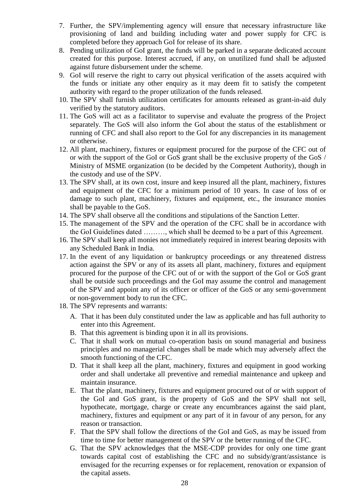- 7. Further, the SPV/implementing agency will ensure that necessary infrastructure like provisioning of land and building including water and power supply for CFC is completed before they approach GoI for release of its share.
- 8. Pending utilization of GoI grant, the funds will be parked in a separate dedicated account created for this purpose. Interest accrued, if any, on unutilized fund shall be adjusted against future disbursement under the scheme.
- 9. GoI will reserve the right to carry out physical verification of the assets acquired with the funds or initiate any other enquiry as it may deem fit to satisfy the competent authority with regard to the proper utilization of the funds released.
- 10. The SPV shall furnish utilization certificates for amounts released as grant-in-aid duly verified by the statutory auditors.
- 11. The GoS will act as a facilitator to supervise and evaluate the progress of the Project separately. The GoS will also inform the GoI about the status of the establishment or running of CFC and shall also report to the GoI for any discrepancies in its management or otherwise.
- 12. All plant, machinery, fixtures or equipment procured for the purpose of the CFC out of or with the support of the GoI or GoS grant shall be the exclusive property of the GoS / Ministry of MSME organization (to be decided by the Competent Authority), though in the custody and use of the SPV.
- 13. The SPV shall, at its own cost, insure and keep insured all the plant, machinery, fixtures and equipment of the CFC for a minimum period of 10 years. In case of loss of or damage to such plant, machinery, fixtures and equipment, etc., the insurance monies shall be payable to the GoS.
- 14. The SPV shall observe all the conditions and stipulations of the Sanction Letter.
- 15. The management of the SPV and the operation of the CFC shall be in accordance with the GoI Guidelines dated ………, which shall be deemed to be a part of this Agreement.
- 16. The SPV shall keep all monies not immediately required in interest bearing deposits with any Scheduled Bank in India.
- 17. In the event of any liquidation or bankruptcy proceedings or any threatened distress action against the SPV or any of its assets all plant, machinery, fixtures and equipment procured for the purpose of the CFC out of or with the support of the GoI or GoS grant shall be outside such proceedings and the GoI may assume the control and management of the SPV and appoint any of its officer or officer of the GoS or any semi-government or non-government body to run the CFC.
- 18. The SPV represents and warrants:
	- A. That it has been duly constituted under the law as applicable and has full authority to enter into this Agreement.
	- B. That this agreement is binding upon it in all its provisions.
	- C. That it shall work on mutual co-operation basis on sound managerial and business principles and no managerial changes shall be made which may adversely affect the smooth functioning of the CFC.
	- D. That it shall keep all the plant, machinery, fixtures and equipment in good working order and shall undertake all preventive and remedial maintenance and upkeep and maintain insurance.
	- E. That the plant, machinery, fixtures and equipment procured out of or with support of the GoI and GoS grant, is the property of GoS and the SPV shall not sell, hypothecate, mortgage, charge or create any encumbrances against the said plant, machinery, fixtures and equipment or any part of it in favour of any person, for any reason or transaction.
	- F. That the SPV shall follow the directions of the GoI and GoS, as may be issued from time to time for better management of the SPV or the better running of the CFC.
	- G. That the SPV acknowledges that the MSE-CDP provides for only one time grant towards capital cost of establishing the CFC and no subsidy/grant/assistance is envisaged for the recurring expenses or for replacement, renovation or expansion of the capital assets.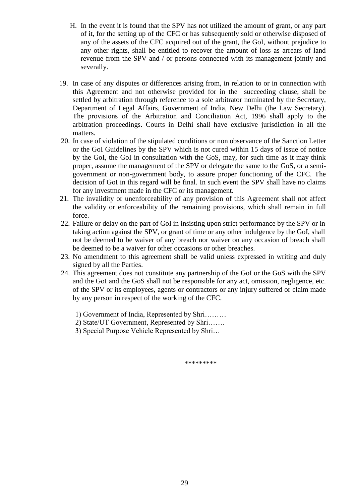- H. In the event it is found that the SPV has not utilized the amount of grant, or any part of it, for the setting up of the CFC or has subsequently sold or otherwise disposed of any of the assets of the CFC acquired out of the grant, the GoI, without prejudice to any other rights, shall be entitled to recover the amount of loss as arrears of land revenue from the SPV and / or persons connected with its management jointly and severally.
- 19. In case of any disputes or differences arising from, in relation to or in connection with this Agreement and not otherwise provided for in the succeeding clause, shall be settled by arbitration through reference to a sole arbitrator nominated by the Secretary, Department of Legal Affairs, Government of India, New Delhi (the Law Secretary). The provisions of the Arbitration and Conciliation Act, 1996 shall apply to the arbitration proceedings. Courts in Delhi shall have exclusive jurisdiction in all the matters.
- 20. In case of violation of the stipulated conditions or non observance of the Sanction Letter or the GoI Guidelines by the SPV which is not cured within 15 days of issue of notice by the GoI, the GoI in consultation with the GoS, may, for such time as it may think proper, assume the management of the SPV or delegate the same to the GoS, or a semigovernment or non-government body, to assure proper functioning of the CFC. The decision of GoI in this regard will be final. In such event the SPV shall have no claims for any investment made in the CFC or its management.
- 21. The invalidity or unenforceability of any provision of this Agreement shall not affect the validity or enforceability of the remaining provisions, which shall remain in full force.
- 22. Failure or delay on the part of GoI in insisting upon strict performance by the SPV or in taking action against the SPV, or grant of time or any other indulgence by the GoI, shall not be deemed to be waiver of any breach nor waiver on any occasion of breach shall be deemed to be a waiver for other occasions or other breaches.
- 23. No amendment to this agreement shall be valid unless expressed in writing and duly signed by all the Parties.
- 24. This agreement does not constitute any partnership of the GoI or the GoS with the SPV and the GoI and the GoS shall not be responsible for any act, omission, negligence, etc. of the SPV or its employees, agents or contractors or any injury suffered or claim made by any person in respect of the working of the CFC.
	- 1) Government of India, Represented by Shri………
	- 2) State/UT Government, Represented by Shri…….
	- 3) Special Purpose Vehicle Represented by Shri…

\*\*\*\*\*\*\*\*\*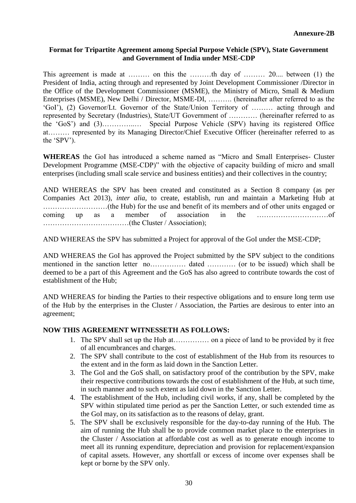## **Format for Tripartite Agreement among Special Purpose Vehicle (SPV), State Government and Government of India under MSE-CDP**

This agreement is made at ……… on this the ………th day of ……… 20.... between (1) the President of India, acting through and represented by Joint Development Commissioner /Director in the Office of the Development Commissioner (MSME), the Ministry of Micro, Small & Medium Enterprises (MSME), New Delhi / Director, MSME-DI, ………. (hereinafter after referred to as the "GoI"), (2) Governor/Lt. Governor of the State/Union Territory of ……… acting through and represented by Secretary (Industries), State/UT Government of ………… (hereinafter referred to as the "GoS") and (3)…………..… Special Purpose Vehicle (SPV) having its registered Office at……… represented by its Managing Director/Chief Executive Officer (hereinafter referred to as the "SPV").

**WHEREAS** the GoI has introduced a scheme named as "Micro and Small Enterprises- Cluster Development Programme (MSE-CDP)" with the objective of capacity building of micro and small enterprises (including small scale service and business entities) and their collectives in the country;

AND WHEREAS the SPV has been created and constituted as a Section 8 company (as per Companies Act 2013), *inter alia*, to create, establish, run and maintain a Marketing Hub at ………………………(the Hub) for the use and benefit of its members and of other units engaged or coming up as a member of association in the …………………………of ………………………………(the Cluster / Association);

AND WHEREAS the SPV has submitted a Project for approval of the GoI under the MSE-CDP;

AND WHEREAS the GoI has approved the Project submitted by the SPV subject to the conditions mentioned in the sanction letter no…………… dated ………… (or to be issued) which shall be deemed to be a part of this Agreement and the GoS has also agreed to contribute towards the cost of establishment of the Hub;

AND WHEREAS for binding the Parties to their respective obligations and to ensure long term use of the Hub by the enterprises in the Cluster / Association, the Parties are desirous to enter into an agreement;

#### **NOW THIS AGREEMENT WITNESSETH AS FOLLOWS:**

- 1. The SPV shall set up the Hub at…………… on a piece of land to be provided by it free of all encumbrances and charges.
- 2. The SPV shall contribute to the cost of establishment of the Hub from its resources to the extent and in the form as laid down in the Sanction Letter.
- 3. The GoI and the GoS shall, on satisfactory proof of the contribution by the SPV, make their respective contributions towards the cost of establishment of the Hub, at such time, in such manner and to such extent as laid down in the Sanction Letter.
- 4. The establishment of the Hub, including civil works, if any, shall be completed by the SPV within stipulated time period as per the Sanction Letter, or such extended time as the GoI may, on its satisfaction as to the reasons of delay, grant.
- 5. The SPV shall be exclusively responsible for the day-to-day running of the Hub. The aim of running the Hub shall be to provide common market place to the enterprises in the Cluster / Association at affordable cost as well as to generate enough income to meet all its running expenditure, depreciation and provision for replacement/expansion of capital assets. However, any shortfall or excess of income over expenses shall be kept or borne by the SPV only.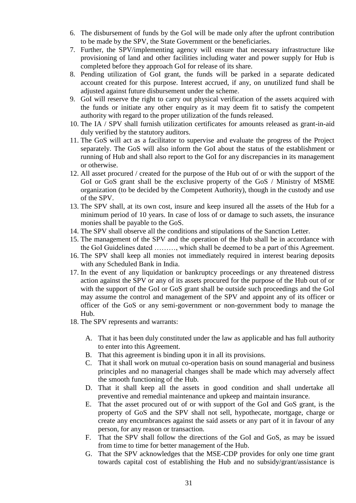- 6. The disbursement of funds by the GoI will be made only after the upfront contribution to be made by the SPV, the State Government or the beneficiaries.
- 7. Further, the SPV/implementing agency will ensure that necessary infrastructure like provisioning of land and other facilities including water and power supply for Hub is completed before they approach GoI for release of its share.
- 8. Pending utilization of GoI grant, the funds will be parked in a separate dedicated account created for this purpose. Interest accrued, if any, on unutilized fund shall be adjusted against future disbursement under the scheme.
- 9. GoI will reserve the right to carry out physical verification of the assets acquired with the funds or initiate any other enquiry as it may deem fit to satisfy the competent authority with regard to the proper utilization of the funds released.
- 10. The IA / SPV shall furnish utilization certificates for amounts released as grant-in-aid duly verified by the statutory auditors.
- 11. The GoS will act as a facilitator to supervise and evaluate the progress of the Project separately. The GoS will also inform the GoI about the status of the establishment or running of Hub and shall also report to the GoI for any discrepancies in its management or otherwise.
- 12. All asset procured / created for the purpose of the Hub out of or with the support of the GoI or GoS grant shall be the exclusive property of the GoS / Ministry of MSME organization (to be decided by the Competent Authority), though in the custody and use of the SPV.
- 13. The SPV shall, at its own cost, insure and keep insured all the assets of the Hub for a minimum period of 10 years. In case of loss of or damage to such assets, the insurance monies shall be payable to the GoS.
- 14. The SPV shall observe all the conditions and stipulations of the Sanction Letter.
- 15. The management of the SPV and the operation of the Hub shall be in accordance with the GoI Guidelines dated ………, which shall be deemed to be a part of this Agreement.
- 16. The SPV shall keep all monies not immediately required in interest bearing deposits with any Scheduled Bank in India.
- 17. In the event of any liquidation or bankruptcy proceedings or any threatened distress action against the SPV or any of its assets procured for the purpose of the Hub out of or with the support of the GoI or GoS grant shall be outside such proceedings and the GoI may assume the control and management of the SPV and appoint any of its officer or officer of the GoS or any semi-government or non-government body to manage the Hub.
- 18. The SPV represents and warrants:
	- A. That it has been duly constituted under the law as applicable and has full authority to enter into this Agreement.
	- B. That this agreement is binding upon it in all its provisions.
	- C. That it shall work on mutual co-operation basis on sound managerial and business principles and no managerial changes shall be made which may adversely affect the smooth functioning of the Hub.
	- D. That it shall keep all the assets in good condition and shall undertake all preventive and remedial maintenance and upkeep and maintain insurance.
	- E. That the asset procured out of or with support of the GoI and GoS grant, is the property of GoS and the SPV shall not sell, hypothecate, mortgage, charge or create any encumbrances against the said assets or any part of it in favour of any person, for any reason or transaction.
	- F. That the SPV shall follow the directions of the GoI and GoS, as may be issued from time to time for better management of the Hub.
	- G. That the SPV acknowledges that the MSE-CDP provides for only one time grant towards capital cost of establishing the Hub and no subsidy/grant/assistance is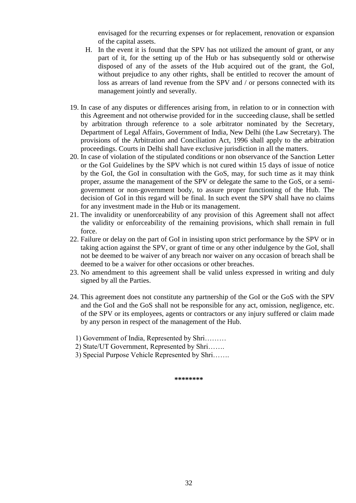envisaged for the recurring expenses or for replacement, renovation or expansion of the capital assets.

- H. In the event it is found that the SPV has not utilized the amount of grant, or any part of it, for the setting up of the Hub or has subsequently sold or otherwise disposed of any of the assets of the Hub acquired out of the grant, the GoI, without prejudice to any other rights, shall be entitled to recover the amount of loss as arrears of land revenue from the SPV and / or persons connected with its management jointly and severally.
- 19. In case of any disputes or differences arising from, in relation to or in connection with this Agreement and not otherwise provided for in the succeeding clause, shall be settled by arbitration through reference to a sole arbitrator nominated by the Secretary, Department of Legal Affairs, Government of India, New Delhi (the Law Secretary). The provisions of the Arbitration and Conciliation Act, 1996 shall apply to the arbitration proceedings. Courts in Delhi shall have exclusive jurisdiction in all the matters.
- 20. In case of violation of the stipulated conditions or non observance of the Sanction Letter or the GoI Guidelines by the SPV which is not cured within 15 days of issue of notice by the GoI, the GoI in consultation with the GoS, may, for such time as it may think proper, assume the management of the SPV or delegate the same to the GoS, or a semigovernment or non-government body, to assure proper functioning of the Hub. The decision of GoI in this regard will be final. In such event the SPV shall have no claims for any investment made in the Hub or its management.
- 21. The invalidity or unenforceability of any provision of this Agreement shall not affect the validity or enforceability of the remaining provisions, which shall remain in full force.
- 22. Failure or delay on the part of GoI in insisting upon strict performance by the SPV or in taking action against the SPV, or grant of time or any other indulgence by the GoI, shall not be deemed to be waiver of any breach nor waiver on any occasion of breach shall be deemed to be a waiver for other occasions or other breaches.
- 23. No amendment to this agreement shall be valid unless expressed in writing and duly signed by all the Parties.
- 24. This agreement does not constitute any partnership of the GoI or the GoS with the SPV and the GoI and the GoS shall not be responsible for any act, omission, negligence, etc. of the SPV or its employees, agents or contractors or any injury suffered or claim made by any person in respect of the management of the Hub.
	- 1) Government of India, Represented by Shri………
	- 2) State/UT Government, Represented by Shri…….
	- 3) Special Purpose Vehicle Represented by Shri…….

**\*\*\*\*\*\*\*\***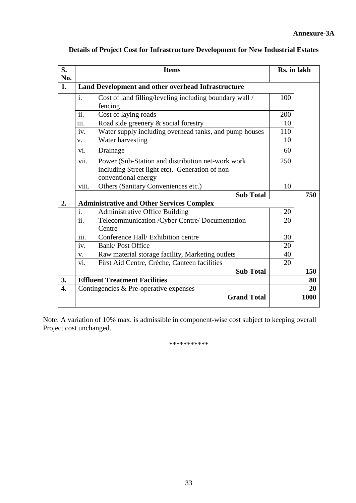| S.<br>No. | <b>Items</b>                                     |                                                         |     | Rs. in lakh |
|-----------|--------------------------------------------------|---------------------------------------------------------|-----|-------------|
| 1.        |                                                  | Land Development and other overhead Infrastructure      |     |             |
|           | $\mathbf{i}$ .                                   | Cost of land filling/leveling including boundary wall / | 100 |             |
|           |                                                  | fencing                                                 |     |             |
|           | ii.                                              | Cost of laying roads                                    | 200 |             |
|           | $\cdots$<br>111.                                 | Road side greenery & social forestry                    | 10  |             |
|           | iv.                                              | Water supply including overhead tanks, and pump houses  | 110 |             |
|           | $V_{\star}$                                      | Water harvesting                                        | 10  |             |
|           | $\overline{\mathbf{v}}$ .                        | Drainage                                                | 60  |             |
|           | vii.                                             | Power (Sub-Station and distribution net-work work       | 250 |             |
|           |                                                  | including Street light etc), Generation of non-         |     |             |
|           |                                                  |                                                         |     |             |
|           | viii.                                            | Others (Sanitary Conveniences etc.)                     | 10  |             |
|           |                                                  | <b>Sub Total</b>                                        |     | 750         |
| 2.        | <b>Administrative and Other Services Complex</b> |                                                         |     |             |
|           | $\mathbf{i}$ .                                   | Administrative Office Building                          | 20  |             |
|           | $\overline{ii}$ .                                | Telecommunication / Cyber Centre/ Documentation         | 20  |             |
|           |                                                  | Centre                                                  |     |             |
|           | $\overline{\text{iii}}$ .                        | Conference Hall/Exhibition centre                       | 30  |             |
|           | $\overline{iv}$ .                                | <b>Bank/Post Office</b>                                 | 20  |             |
|           | V.                                               | Raw material storage facility, Marketing outlets        | 40  |             |
|           | vi.                                              | First Aid Centre, Crèche, Canteen facilities            | 20  |             |
|           |                                                  | <b>Sub Total</b>                                        |     | 150         |
| 3.        |                                                  | <b>Effluent Treatment Facilities</b>                    |     | 80          |
| 4.        |                                                  | Contingencies & Pre-operative expenses                  |     | 20          |
|           |                                                  | <b>Grand Total</b>                                      |     | 1000        |

# **Details of Project Cost for Infrastructure Development for New Industrial Estates**

Note: A variation of 10% max. is admissible in component-wise cost subject to keeping overall Project cost unchanged.

\*\*\*\*\*\*\*\*\*\*\*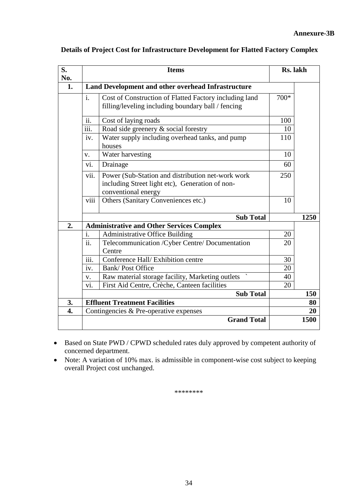| S.<br>No. | <b>Items</b>                                                                                                                        |                                                                                                              |        | Rs. lakh   |  |
|-----------|-------------------------------------------------------------------------------------------------------------------------------------|--------------------------------------------------------------------------------------------------------------|--------|------------|--|
| 1.        |                                                                                                                                     | Land Development and other overhead Infrastructure                                                           |        |            |  |
|           | $\mathbf{i}$ .                                                                                                                      | Cost of Construction of Flatted Factory including land<br>filling/leveling including boundary ball / fencing | $700*$ |            |  |
|           | $\overline{ii}$ .                                                                                                                   | Cost of laying roads                                                                                         | 100    |            |  |
|           | iii.                                                                                                                                | Road side greenery & social forestry                                                                         | 10     |            |  |
|           | iv.                                                                                                                                 | Water supply including overhead tanks, and pump<br>houses                                                    | 110    |            |  |
|           | V.                                                                                                                                  | Water harvesting                                                                                             | 10     |            |  |
|           | $\overline{\mathbf{v}}$ .                                                                                                           | Drainage                                                                                                     | 60     |            |  |
|           | vii.<br>Power (Sub-Station and distribution net-work work<br>including Street light etc), Generation of non-<br>conventional energy |                                                                                                              |        |            |  |
|           | viii                                                                                                                                | Others (Sanitary Conveniences etc.)                                                                          | 10     |            |  |
|           |                                                                                                                                     | <b>Sub Total</b>                                                                                             |        | 1250       |  |
| 2.        |                                                                                                                                     | <b>Administrative and Other Services Complex</b>                                                             |        |            |  |
|           | $\mathbf{i}$ .                                                                                                                      | <b>Administrative Office Building</b>                                                                        | 20     |            |  |
|           | $\overline{ii}$ .                                                                                                                   | Telecommunication / Cyber Centre/ Documentation<br>Centre                                                    | 20     |            |  |
|           | $\overline{\text{iii}}$ .                                                                                                           | Conference Hall/Exhibition centre                                                                            | 30     |            |  |
|           | iv.                                                                                                                                 | <b>Bank/Post Office</b>                                                                                      | 20     |            |  |
|           | v.                                                                                                                                  | Raw material storage facility, Marketing outlets                                                             | 40     |            |  |
|           | vi.                                                                                                                                 | First Aid Centre, Crèche, Canteen facilities                                                                 | 20     |            |  |
|           |                                                                                                                                     | <b>Sub Total</b>                                                                                             |        | 150        |  |
| 3.        |                                                                                                                                     | <b>Effluent Treatment Facilities</b>                                                                         |        | 80         |  |
| 4.        |                                                                                                                                     | Contingencies & Pre-operative expenses                                                                       |        | 20<br>1500 |  |
|           |                                                                                                                                     | <b>Grand Total</b>                                                                                           |        |            |  |

# **Details of Project Cost for Infrastructure Development for Flatted Factory Complex**

- Based on State PWD / CPWD scheduled rates duly approved by competent authority of concerned department.
- Note: A variation of 10% max. is admissible in component-wise cost subject to keeping overall Project cost unchanged.

\*\*\*\*\*\*\*\*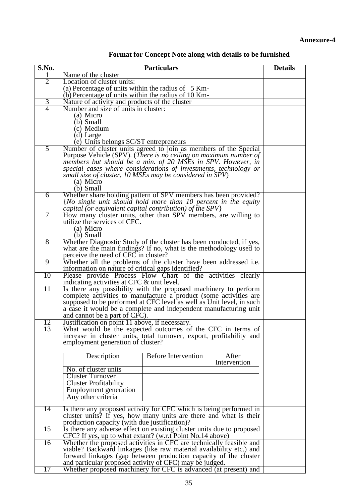| S.No.          | <b>Particulars</b>                                                      | <b>Details</b>             |                       |  |  |  |
|----------------|-------------------------------------------------------------------------|----------------------------|-----------------------|--|--|--|
|                | Name of the cluster                                                     |                            |                       |  |  |  |
| $\overline{2}$ | Location of cluster units:                                              |                            |                       |  |  |  |
|                | (a) Percentage of units within the radius of $5 \text{ Km}$             |                            |                       |  |  |  |
|                | (b) Percentage of units within the radius of 10 Km-                     |                            |                       |  |  |  |
| $\overline{3}$ | Nature of activity and products of the cluster                          |                            |                       |  |  |  |
| 4              | Number and size of units in cluster:                                    |                            |                       |  |  |  |
|                | (a) Micro                                                               |                            |                       |  |  |  |
|                | $(b)$ Small                                                             |                            |                       |  |  |  |
|                | (c) Medium                                                              |                            |                       |  |  |  |
|                | (d) Large                                                               |                            |                       |  |  |  |
|                | (e) Units belongs SC/ST entrepreneurs                                   |                            |                       |  |  |  |
| 5              | Number of cluster units agreed to join as members of the Special        |                            |                       |  |  |  |
|                | Purpose Vehicle (SPV). (There is no ceiling on maximum number of        |                            |                       |  |  |  |
|                | members but should be a min. of 20 MSEs in SPV. However, in             |                            |                       |  |  |  |
|                | special cases where considerations of investments, technology or        |                            |                       |  |  |  |
|                | small size of cluster, 10 MSEs may be considered in SPV)                |                            |                       |  |  |  |
|                | (a) Micro                                                               |                            |                       |  |  |  |
|                | (b) Small                                                               |                            |                       |  |  |  |
| $\overline{6}$ | Whether share holding pattern of SPV members has been provided?         |                            |                       |  |  |  |
|                | {No single unit should hold more than 10 percent in the equity          |                            |                       |  |  |  |
|                | capital (or equivalent capital contribution) of the $SPV$ }             |                            |                       |  |  |  |
| 7              | How many cluster units, other than SPV members, are willing to          |                            |                       |  |  |  |
|                | utilize the services of CFC.                                            |                            |                       |  |  |  |
|                | (a) Micro                                                               |                            |                       |  |  |  |
|                | $(b)$ Small                                                             |                            |                       |  |  |  |
| $\overline{8}$ | Whether Diagnostic Study of the cluster has been conducted, if yes,     |                            |                       |  |  |  |
|                | what are the main findings? If no, what is the methodology used to      |                            |                       |  |  |  |
|                | perceive the need of CFC in cluster?                                    |                            |                       |  |  |  |
| 9              | Whether all the problems of the cluster have been addressed <i>i.e.</i> |                            |                       |  |  |  |
|                | information on nature of critical gaps identified?                      |                            |                       |  |  |  |
| 10             | Please provide Process Flow Chart of the activities clearly             |                            |                       |  |  |  |
|                | indicating activities at CFC & unit level.                              |                            |                       |  |  |  |
| 11             | Is there any possibility with the proposed machinery to perform         |                            |                       |  |  |  |
|                | complete activities to manufacture a product (some activities are       |                            |                       |  |  |  |
|                | supposed to be performed at CFC level as well as Unit level, in such    |                            |                       |  |  |  |
|                | a case it would be a complete and independent manufacturing unit        |                            |                       |  |  |  |
|                | and cannot be a part of CFC).                                           |                            |                       |  |  |  |
| 12             | Justification on point 11 above, if necessary.                          |                            |                       |  |  |  |
| 13             | What would be the expected outcomes of the CFC in terms of              |                            |                       |  |  |  |
|                | increase in cluster units, total turnover, export, profitability and    |                            |                       |  |  |  |
|                | employment generation of cluster?                                       |                            |                       |  |  |  |
|                |                                                                         |                            |                       |  |  |  |
|                | Description                                                             | <b>Before Intervention</b> | After<br>Intervention |  |  |  |
|                | No. of cluster units                                                    |                            |                       |  |  |  |
|                | <b>Cluster Turnover</b>                                                 |                            |                       |  |  |  |
|                | <b>Cluster Profitability</b>                                            |                            |                       |  |  |  |
|                |                                                                         |                            |                       |  |  |  |
|                | Employment generation<br>Any other criteria                             |                            |                       |  |  |  |
|                |                                                                         |                            |                       |  |  |  |
| 14             | Is there any proposed activity for CFC which is being performed in      |                            |                       |  |  |  |
|                | cluster units? If yes, how many units are there and what is their       |                            |                       |  |  |  |
|                | production capacity (with due justification)?                           |                            |                       |  |  |  |
| 15             | Is there any adverse effect on existing cluster units due to proposed   |                            |                       |  |  |  |
|                | CFC? If yes, up to what extant? (w.r.t Point No.14 above)               |                            |                       |  |  |  |
| 16             | Whether the proposed activities in CFC are technically feasible and     |                            |                       |  |  |  |
|                | viable? Backward linkages (like raw material availability etc.) and     |                            |                       |  |  |  |
|                | forward linkages (gap between production capacity of the cluster        |                            |                       |  |  |  |
|                | and particular proposed activity of CFC) may be judged.                 |                            |                       |  |  |  |
| 17             | Whether proposed machinery for CFC is advanced (at present) and         |                            |                       |  |  |  |

|  | Format for Concept Note along with details to be furnished |  |  |  |
|--|------------------------------------------------------------|--|--|--|
|--|------------------------------------------------------------|--|--|--|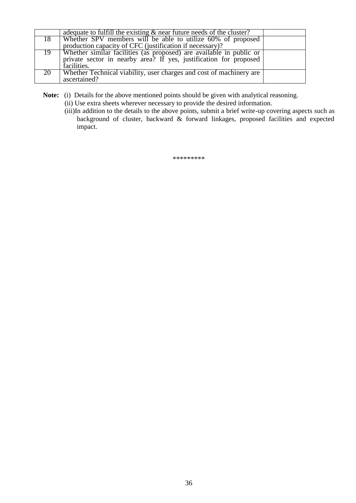|    | adequate to fulfill the existing $\&$ near future needs of the cluster?                                                                                 |  |
|----|---------------------------------------------------------------------------------------------------------------------------------------------------------|--|
| 18 | Whether SPV members will be able to utilize 60% of proposed                                                                                             |  |
|    | production capacity of CFC (justification if necessary)?                                                                                                |  |
| 19 | Whether similar facilities (as proposed) are available in public or<br>private sector in nearby area? If yes, justification for proposed<br>facilities. |  |
| 20 | Whether Technical viability, user charges and cost of machinery are<br>ascertained?                                                                     |  |

**Note:** (i) Details for the above mentioned points should be given with analytical reasoning.

(ii) Use extra sheets wherever necessary to provide the desired information.

(iii)In addition to the details to the above points, submit a brief write-up covering aspects such as background of cluster, backward & forward linkages, proposed facilities and expected impact.

\*\*\*\*\*\*\*\*\*